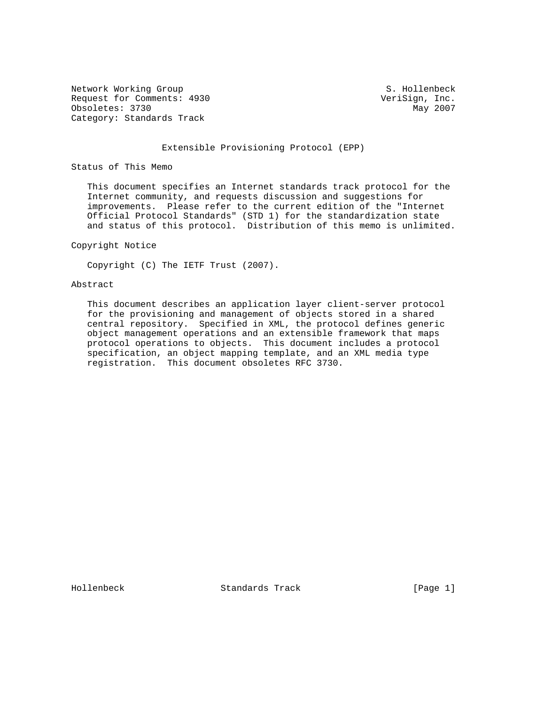Network Working Group S. Hollenbeck Request for Comments: 4930 VeriSign, Inc. Obsoletes: 3730 May 2007 Category: Standards Track

#### Extensible Provisioning Protocol (EPP)

Status of This Memo

 This document specifies an Internet standards track protocol for the Internet community, and requests discussion and suggestions for improvements. Please refer to the current edition of the "Internet Official Protocol Standards" (STD 1) for the standardization state and status of this protocol. Distribution of this memo is unlimited.

### Copyright Notice

Copyright (C) The IETF Trust (2007).

# Abstract

 This document describes an application layer client-server protocol for the provisioning and management of objects stored in a shared central repository. Specified in XML, the protocol defines generic object management operations and an extensible framework that maps protocol operations to objects. This document includes a protocol specification, an object mapping template, and an XML media type registration. This document obsoletes RFC 3730.

Hollenbeck Standards Track [Page 1]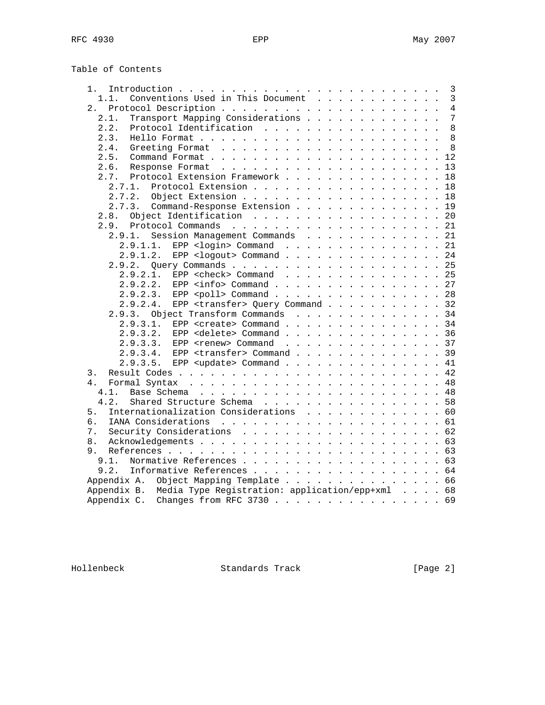Table of Contents

| 1.                                                          |  | 3              |
|-------------------------------------------------------------|--|----------------|
| Conventions Used in This Document<br>1.1.                   |  | $\overline{3}$ |
| 2.                                                          |  | $\overline{4}$ |
| Transport Mapping Considerations<br>2.1.                    |  | 7              |
| 2.2.<br>Protocol Identification                             |  | 8              |
| 2.3.                                                        |  | 8              |
| 2.4.                                                        |  | 8              |
| 2.5.                                                        |  | 12             |
| 2.6.                                                        |  |                |
| Protocol Extension Framework 18<br>2.7.                     |  |                |
| Protocol Extension 18<br>2.7.1.                             |  |                |
| 2.7.2. Object Extension 18                                  |  |                |
| 2.7.3. Command-Response Extension 19                        |  |                |
| Object Identification<br>2.8.                               |  | 20             |
| 2.9.                                                        |  |                |
| Session Management Commands 21<br>2.9.1.                    |  |                |
| 2.9.1.1. EPP <login> Command 21</login>                     |  |                |
| EPP <logout> Command 24<br/>2.9.1.2.</logout>               |  |                |
| 2.9.2.                                                      |  |                |
| EPP <check> Command 25<br/>2.9.2.1.</check>                 |  |                |
| 2.9.2.2.<br>EPP $\langle$ info> Command 27                  |  |                |
| EPP <poll> Command 28<br/>2.9.2.3.</poll>                   |  |                |
| 2.9.2.4.<br>EPP <transfer> Query Command 32</transfer>      |  |                |
| 2.9.3. Object Transform Commands 34                         |  |                |
| EPP <create> Command 34<br/>2.9.3.1.</create>               |  |                |
| 2.9.3.2.<br>EPP <delete> Command 36</delete>                |  |                |
| 2.9.3.3.<br>EPP <renew> <math>Common</math> 37</renew>      |  |                |
| EPP <transfer> Command 39<br/>2.9.3.4.</transfer>           |  |                |
| EPP <update> Command 41<br/>2.9.3.5.</update>               |  |                |
| 3.                                                          |  |                |
| 4 <sup>1</sup>                                              |  |                |
| 4.1.                                                        |  |                |
| 4.2.<br>Shared Structure Schema 58                          |  |                |
| Internationalization Considerations 60<br>5.                |  |                |
| б.                                                          |  |                |
| 7.                                                          |  |                |
|                                                             |  |                |
| 8.                                                          |  |                |
| 9.                                                          |  |                |
| Normative References 63<br>9.1.                             |  |                |
| Informative References 64<br>9.2.                           |  |                |
| Appendix A. Object Mapping Template 66                      |  |                |
| Appendix B. Media Type Registration: application/epp+xml 68 |  |                |
| Appendix C. Changes from RFC 3730 69                        |  |                |

Hollenbeck Standards Track [Page 2]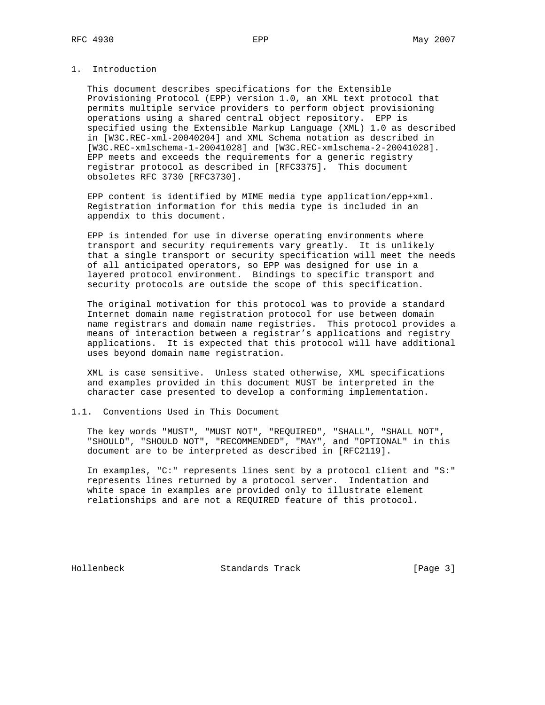# 1. Introduction

 This document describes specifications for the Extensible Provisioning Protocol (EPP) version 1.0, an XML text protocol that permits multiple service providers to perform object provisioning operations using a shared central object repository. EPP is specified using the Extensible Markup Language (XML) 1.0 as described in [W3C.REC-xml-20040204] and XML Schema notation as described in [W3C.REC-xmlschema-1-20041028] and [W3C.REC-xmlschema-2-20041028]. EPP meets and exceeds the requirements for a generic registry registrar protocol as described in [RFC3375]. This document obsoletes RFC 3730 [RFC3730].

 EPP content is identified by MIME media type application/epp+xml. Registration information for this media type is included in an appendix to this document.

 EPP is intended for use in diverse operating environments where transport and security requirements vary greatly. It is unlikely that a single transport or security specification will meet the needs of all anticipated operators, so EPP was designed for use in a layered protocol environment. Bindings to specific transport and security protocols are outside the scope of this specification.

 The original motivation for this protocol was to provide a standard Internet domain name registration protocol for use between domain name registrars and domain name registries. This protocol provides a means of interaction between a registrar's applications and registry applications. It is expected that this protocol will have additional uses beyond domain name registration.

 XML is case sensitive. Unless stated otherwise, XML specifications and examples provided in this document MUST be interpreted in the character case presented to develop a conforming implementation.

### 1.1. Conventions Used in This Document

 The key words "MUST", "MUST NOT", "REQUIRED", "SHALL", "SHALL NOT", "SHOULD", "SHOULD NOT", "RECOMMENDED", "MAY", and "OPTIONAL" in this document are to be interpreted as described in [RFC2119].

 In examples, "C:" represents lines sent by a protocol client and "S:" represents lines returned by a protocol server. Indentation and white space in examples are provided only to illustrate element relationships and are not a REQUIRED feature of this protocol.

Hollenbeck Standards Track [Page 3]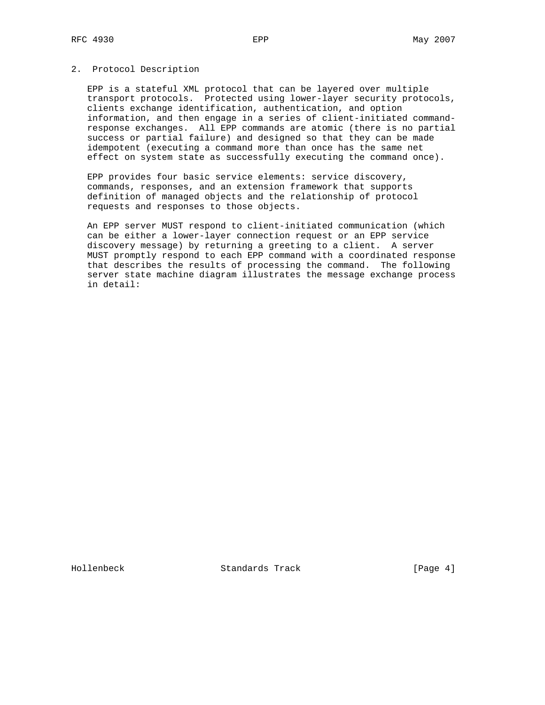### 2. Protocol Description

 EPP is a stateful XML protocol that can be layered over multiple transport protocols. Protected using lower-layer security protocols, clients exchange identification, authentication, and option information, and then engage in a series of client-initiated command response exchanges. All EPP commands are atomic (there is no partial success or partial failure) and designed so that they can be made idempotent (executing a command more than once has the same net effect on system state as successfully executing the command once).

 EPP provides four basic service elements: service discovery, commands, responses, and an extension framework that supports definition of managed objects and the relationship of protocol requests and responses to those objects.

 An EPP server MUST respond to client-initiated communication (which can be either a lower-layer connection request or an EPP service discovery message) by returning a greeting to a client. A server MUST promptly respond to each EPP command with a coordinated response that describes the results of processing the command. The following server state machine diagram illustrates the message exchange process in detail:

Hollenbeck Standards Track [Page 4]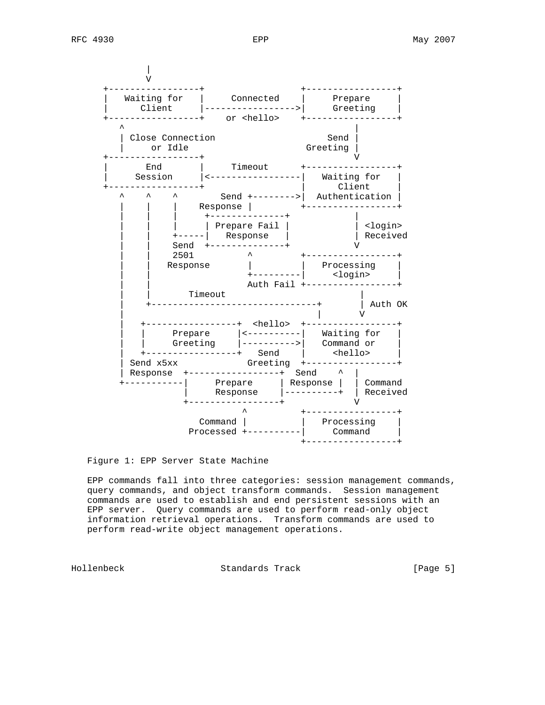

Figure 1: EPP Server State Machine

 EPP commands fall into three categories: session management commands, query commands, and object transform commands. Session management commands are used to establish and end persistent sessions with an EPP server. Query commands are used to perform read-only object information retrieval operations. Transform commands are used to perform read-write object management operations.

Hollenbeck Standards Track [Page 5]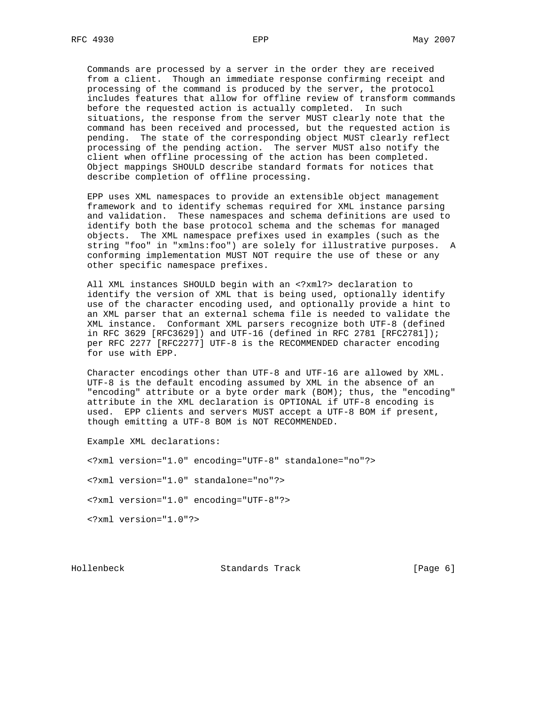Commands are processed by a server in the order they are received from a client. Though an immediate response confirming receipt and processing of the command is produced by the server, the protocol includes features that allow for offline review of transform commands before the requested action is actually completed. In such situations, the response from the server MUST clearly note that the command has been received and processed, but the requested action is pending. The state of the corresponding object MUST clearly reflect processing of the pending action. The server MUST also notify the client when offline processing of the action has been completed. Object mappings SHOULD describe standard formats for notices that describe completion of offline processing.

 EPP uses XML namespaces to provide an extensible object management framework and to identify schemas required for XML instance parsing and validation. These namespaces and schema definitions are used to identify both the base protocol schema and the schemas for managed objects. The XML namespace prefixes used in examples (such as the string "foo" in "xmlns:foo") are solely for illustrative purposes. A conforming implementation MUST NOT require the use of these or any other specific namespace prefixes.

 All XML instances SHOULD begin with an <?xml?> declaration to identify the version of XML that is being used, optionally identify use of the character encoding used, and optionally provide a hint to an XML parser that an external schema file is needed to validate the XML instance. Conformant XML parsers recognize both UTF-8 (defined in RFC 3629 [RFC3629]) and UTF-16 (defined in RFC 2781 [RFC2781]); per RFC 2277 [RFC2277] UTF-8 is the RECOMMENDED character encoding for use with EPP.

 Character encodings other than UTF-8 and UTF-16 are allowed by XML. UTF-8 is the default encoding assumed by XML in the absence of an "encoding" attribute or a byte order mark (BOM); thus, the "encoding" attribute in the XML declaration is OPTIONAL if UTF-8 encoding is used. EPP clients and servers MUST accept a UTF-8 BOM if present, though emitting a UTF-8 BOM is NOT RECOMMENDED.

Example XML declarations:

<?xml version="1.0" encoding="UTF-8" standalone="no"?>

<?xml version="1.0" standalone="no"?>

<?xml version="1.0" encoding="UTF-8"?>

<?xml version="1.0"?>

Hollenbeck Standards Track [Page 6]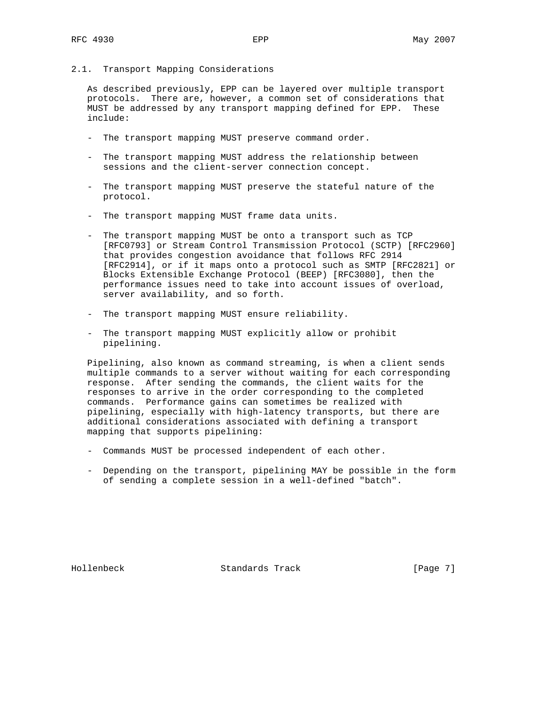2.1. Transport Mapping Considerations

 As described previously, EPP can be layered over multiple transport protocols. There are, however, a common set of considerations that MUST be addressed by any transport mapping defined for EPP. These include:

- The transport mapping MUST preserve command order.
- The transport mapping MUST address the relationship between sessions and the client-server connection concept.
- The transport mapping MUST preserve the stateful nature of the protocol.
- The transport mapping MUST frame data units.
- The transport mapping MUST be onto a transport such as TCP [RFC0793] or Stream Control Transmission Protocol (SCTP) [RFC2960] that provides congestion avoidance that follows RFC 2914 [RFC2914], or if it maps onto a protocol such as SMTP [RFC2821] or Blocks Extensible Exchange Protocol (BEEP) [RFC3080], then the performance issues need to take into account issues of overload, server availability, and so forth.
- The transport mapping MUST ensure reliability.
- The transport mapping MUST explicitly allow or prohibit pipelining.

 Pipelining, also known as command streaming, is when a client sends multiple commands to a server without waiting for each corresponding response. After sending the commands, the client waits for the responses to arrive in the order corresponding to the completed commands. Performance gains can sometimes be realized with pipelining, especially with high-latency transports, but there are additional considerations associated with defining a transport mapping that supports pipelining:

- Commands MUST be processed independent of each other.
- Depending on the transport, pipelining MAY be possible in the form of sending a complete session in a well-defined "batch".

Hollenbeck Standards Track [Page 7]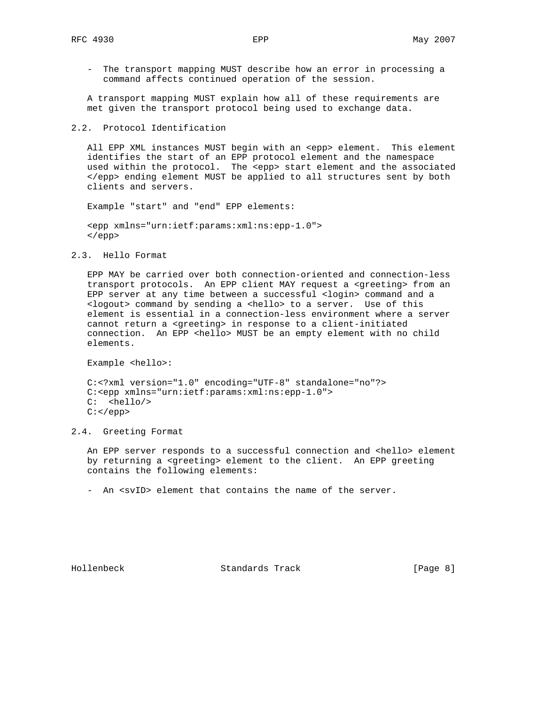- The transport mapping MUST describe how an error in processing a command affects continued operation of the session.

 A transport mapping MUST explain how all of these requirements are met given the transport protocol being used to exchange data.

2.2. Protocol Identification

All EPP XML instances MUST begin with an <epp> element. This element identifies the start of an EPP protocol element and the namespace used within the protocol. The <epp> start element and the associated </epp> ending element MUST be applied to all structures sent by both clients and servers.

Example "start" and "end" EPP elements:

```
 <epp xmlns="urn:ietf:params:xml:ns:epp-1.0">
 </epp>
```
2.3. Hello Format

 EPP MAY be carried over both connection-oriented and connection-less transport protocols. An EPP client MAY request a <greeting> from an EPP server at any time between a successful <login> command and a <logout> command by sending a <hello> to a server. Use of this element is essential in a connection-less environment where a server cannot return a <greeting> in response to a client-initiated connection. An EPP <hello> MUST be an empty element with no child elements.

Example <hello>:

 C:<?xml version="1.0" encoding="UTF-8" standalone="no"?> C:<epp xmlns="urn:ietf:params:xml:ns:epp-1.0"> C: <hello/>  $C:$  </epp>

2.4. Greeting Format

An EPP server responds to a successful connection and <hello> element by returning a <greeting> element to the client. An EPP greeting contains the following elements:

- An <svID> element that contains the name of the server.

Hollenbeck Standards Track [Page 8]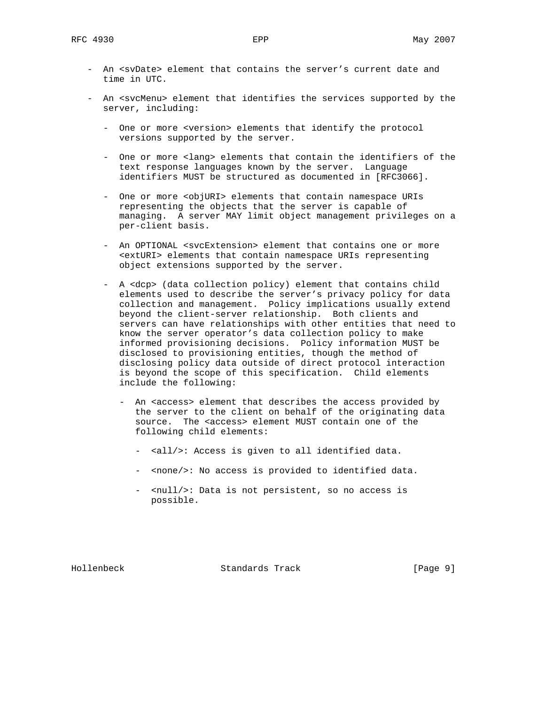- An <svDate> element that contains the server's current date and time in UTC.
- An <svcMenu> element that identifies the services supported by the server, including:
	- One or more <version> elements that identify the protocol versions supported by the server.
	- One or more <lang> elements that contain the identifiers of the text response languages known by the server. Language identifiers MUST be structured as documented in [RFC3066].
	- One or more <objURI> elements that contain namespace URIs representing the objects that the server is capable of managing. A server MAY limit object management privileges on a per-client basis.
	- An OPTIONAL <svcExtension> element that contains one or more <extURI> elements that contain namespace URIs representing object extensions supported by the server.
	- A <dcp> (data collection policy) element that contains child elements used to describe the server's privacy policy for data collection and management. Policy implications usually extend beyond the client-server relationship. Both clients and servers can have relationships with other entities that need to know the server operator's data collection policy to make informed provisioning decisions. Policy information MUST be disclosed to provisioning entities, though the method of disclosing policy data outside of direct protocol interaction is beyond the scope of this specification. Child elements include the following:
		- An <access> element that describes the access provided by the server to the client on behalf of the originating data source. The <access> element MUST contain one of the following child elements:
			- <all/>: Access is given to all identified data.
			- <none/>: No access is provided to identified data.
			- <null/>: Data is not persistent, so no access is possible.

Hollenbeck Standards Track [Page 9]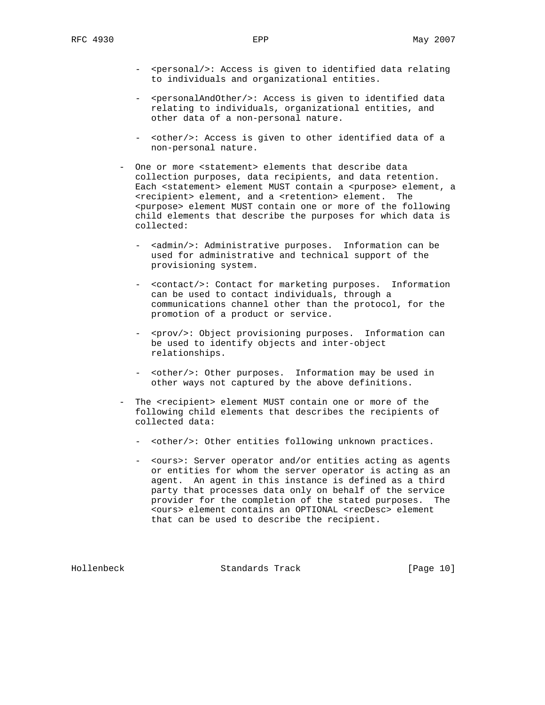- <personal/>: Access is given to identified data relating to individuals and organizational entities.
- <personalAndOther/>: Access is given to identified data relating to individuals, organizational entities, and other data of a non-personal nature.
- <other/>: Access is given to other identified data of a non-personal nature.
- One or more <statement> elements that describe data collection purposes, data recipients, and data retention. Each <statement> element MUST contain a <purpose> element, a <recipient> element, and a <retention> element. The <purpose> element MUST contain one or more of the following child elements that describe the purposes for which data is collected:
	- <admin/>: Administrative purposes. Information can be used for administrative and technical support of the provisioning system.
	- <contact/>: Contact for marketing purposes. Information can be used to contact individuals, through a communications channel other than the protocol, for the promotion of a product or service.
	- <prov/>: Object provisioning purposes. Information can be used to identify objects and inter-object relationships.
	- <other/>: Other purposes. Information may be used in other ways not captured by the above definitions.
- The <recipient> element MUST contain one or more of the following child elements that describes the recipients of collected data:
	- <other/>: Other entities following unknown practices.
	- <ours>: Server operator and/or entities acting as agents or entities for whom the server operator is acting as an agent. An agent in this instance is defined as a third party that processes data only on behalf of the service provider for the completion of the stated purposes. The <ours> element contains an OPTIONAL <recDesc> element that can be used to describe the recipient.

Hollenbeck Standards Track [Page 10]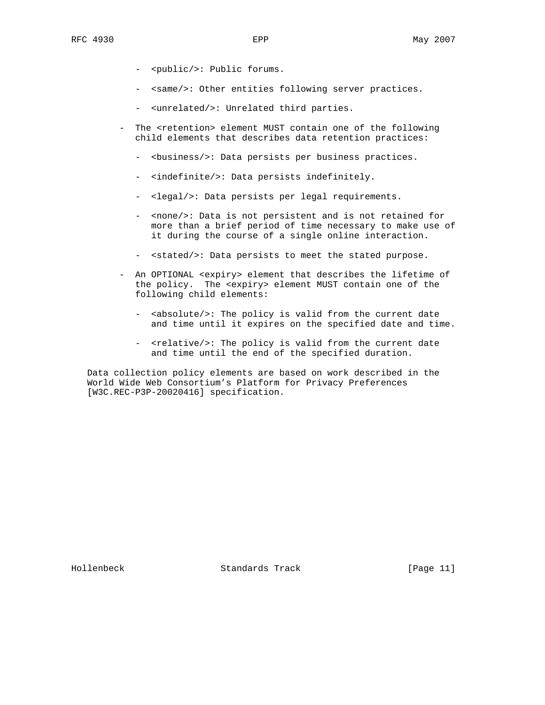- <public/>: Public forums.
- <same/>: Other entities following server practices.
- <unrelated/>: Unrelated third parties.
- The <retention> element MUST contain one of the following child elements that describes data retention practices:
	- <br/>business/>: Data persists per business practices.
	- <indefinite/>: Data persists indefinitely.
	- <legal/>: Data persists per legal requirements.
	- <none/>: Data is not persistent and is not retained for more than a brief period of time necessary to make use of it during the course of a single online interaction.
	- <stated/>: Data persists to meet the stated purpose.
- An OPTIONAL <expiry> element that describes the lifetime of the policy. The <expiry> element MUST contain one of the following child elements:
	- <absolute/>: The policy is valid from the current date and time until it expires on the specified date and time.
	- <relative/>: The policy is valid from the current date and time until the end of the specified duration.

 Data collection policy elements are based on work described in the World Wide Web Consortium's Platform for Privacy Preferences [W3C.REC-P3P-20020416] specification.

Hollenbeck Standards Track [Page 11]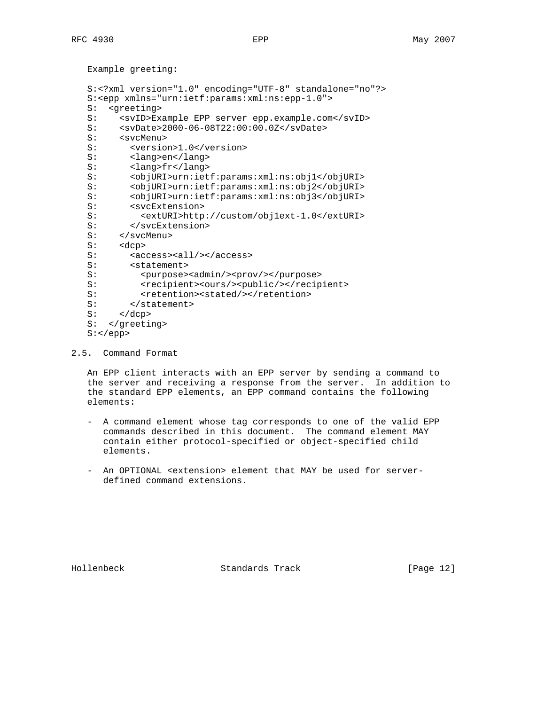Example greeting: S:<?xml version="1.0" encoding="UTF-8" standalone="no"?> S:<epp xmlns="urn:ietf:params:xml:ns:epp-1.0"> S: <greeting> S: <svID>Example EPP server epp.example.com</svID><br>S: <svDate>2000-06-08T22:00:00.0Z</svDate> S: <svDate>2000-06-08T22:00:00.0Z</svDate><br>S: <svcMenu> <svcMenu> S: < version>1.0</version> S: <lang>en</lang> S: <lang>fr</lang> S: <objURI>urn:ietf:params:xml:ns:obj1</objURI> S: <objURI>urn:ietf:params:xml:ns:obj2</objURI> S: <objURI>urn:ietf:params:xml:ns:obj3</objURI> S: <svcExtension> S: <extURI>http://custom/obj1ext-1.0</extURI> S: </svcExtension> S: </svcMenu> S: <dcp> S: <access><all/>>/></access> S: <statement> S: <purpose><admin/>>/prov/></purpose> S: <recipient><ours/><public/></recipient> S: <retention><stated/></retention> S: </statement>  $S: \quad \langle dcp \rangle$  S: </greeting> S:</epp>

2.5. Command Format

 An EPP client interacts with an EPP server by sending a command to the server and receiving a response from the server. In addition to the standard EPP elements, an EPP command contains the following elements:

- A command element whose tag corresponds to one of the valid EPP commands described in this document. The command element MAY contain either protocol-specified or object-specified child elements.
- An OPTIONAL <extension> element that MAY be used for server defined command extensions.

Hollenbeck Standards Track [Page 12]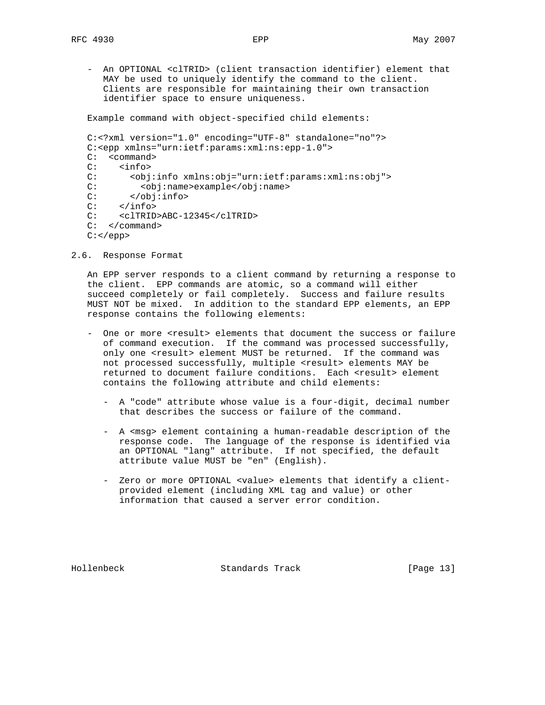- An OPTIONAL <clTRID> (client transaction identifier) element that MAY be used to uniquely identify the command to the client. Clients are responsible for maintaining their own transaction identifier space to ensure uniqueness.

Example command with object-specified child elements:

```
 C:<?xml version="1.0" encoding="UTF-8" standalone="no"?>
 C:<epp xmlns="urn:ietf:params:xml:ns:epp-1.0">
 C: <command>
 C: <info>
 C: <obj:info xmlns:obj="urn:ietf:params:xml:ns:obj">
 C: <obj:name>example</obj:name>
        C: </obj:info>
C: \langle info>
 C: <clTRID>ABC-12345</clTRID>
 C: </command>
C: </epp>
```
2.6. Response Format

 An EPP server responds to a client command by returning a response to the client. EPP commands are atomic, so a command will either succeed completely or fail completely. Success and failure results MUST NOT be mixed. In addition to the standard EPP elements, an EPP response contains the following elements:

- One or more <result> elements that document the success or failure of command execution. If the command was processed successfully, only one <result> element MUST be returned. If the command was not processed successfully, multiple <result> elements MAY be returned to document failure conditions. Each <result> element contains the following attribute and child elements:
	- A "code" attribute whose value is a four-digit, decimal number that describes the success or failure of the command.
	- A <msg> element containing a human-readable description of the response code. The language of the response is identified via an OPTIONAL "lang" attribute. If not specified, the default attribute value MUST be "en" (English).
	- Zero or more OPTIONAL <value> elements that identify a client provided element (including XML tag and value) or other information that caused a server error condition.

Hollenbeck Standards Track [Page 13]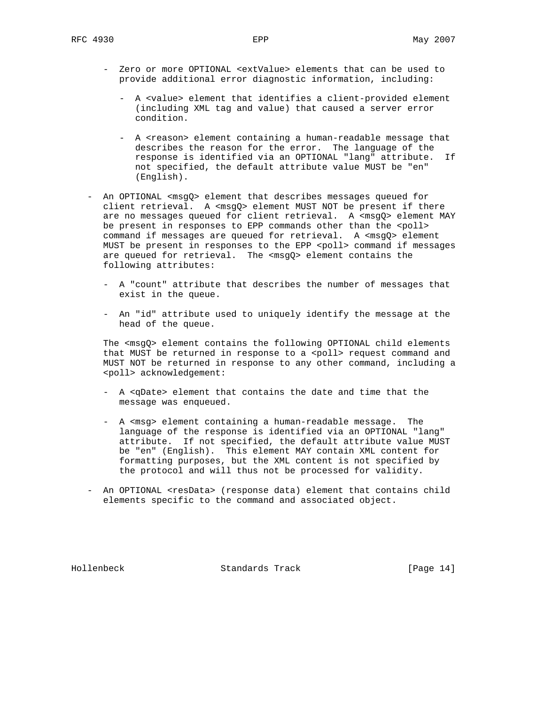- Zero or more OPTIONAL <extValue> elements that can be used to provide additional error diagnostic information, including:
	- A <value> element that identifies a client-provided element (including XML tag and value) that caused a server error condition.
	- A <reason> element containing a human-readable message that describes the reason for the error. The language of the response is identified via an OPTIONAL "lang" attribute. If not specified, the default attribute value MUST be "en" (English).
- An OPTIONAL <msgQ> element that describes messages queued for client retrieval. A <msgQ> element MUST NOT be present if there are no messages queued for client retrieval. A <msgQ> element MAY be present in responses to EPP commands other than the <poll> command if messages are queued for retrieval. A <msgQ> element MUST be present in responses to the EPP <poll> command if messages are queued for retrieval. The <msgQ> element contains the following attributes:
	- A "count" attribute that describes the number of messages that exist in the queue.
	- An "id" attribute used to uniquely identify the message at the head of the queue.

 The <msgQ> element contains the following OPTIONAL child elements that MUST be returned in response to a <poll> request command and MUST NOT be returned in response to any other command, including a <poll> acknowledgement:

- A <qDate> element that contains the date and time that the message was enqueued.
- A <msg> element containing a human-readable message. The language of the response is identified via an OPTIONAL "lang" attribute. If not specified, the default attribute value MUST be "en" (English). This element MAY contain XML content for formatting purposes, but the XML content is not specified by the protocol and will thus not be processed for validity.
- An OPTIONAL <resData> (response data) element that contains child elements specific to the command and associated object.

Hollenbeck Standards Track [Page 14]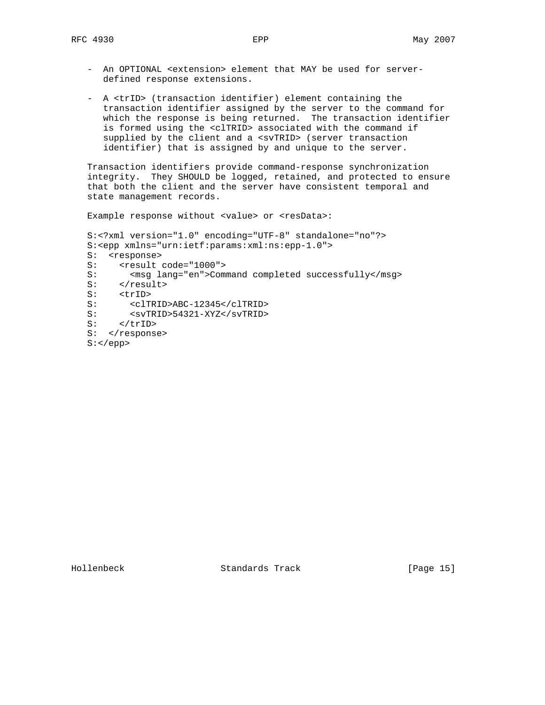- An OPTIONAL <extension> element that MAY be used for server defined response extensions.
- A <trID> (transaction identifier) element containing the transaction identifier assigned by the server to the command for which the response is being returned. The transaction identifier is formed using the <clTRID> associated with the command if supplied by the client and a <svTRID> (server transaction identifier) that is assigned by and unique to the server.

 Transaction identifiers provide command-response synchronization integrity. They SHOULD be logged, retained, and protected to ensure that both the client and the server have consistent temporal and state management records.

Example response without <value> or <resData>:

 S:<?xml version="1.0" encoding="UTF-8" standalone="no"?> S:<epp xmlns="urn:ietf:params:xml:ns:epp-1.0"> S: <response> S: <result code="1000"> S: <msg lang="en">Command completed successfully</msg> S: </result> S: <trID> S: <clTRID>ABC-12345</clTRID> S: <svTRID>54321-XYZ</svTRID> S: </trID> S: </response> S:</epp>

Hollenbeck Standards Track [Page 15]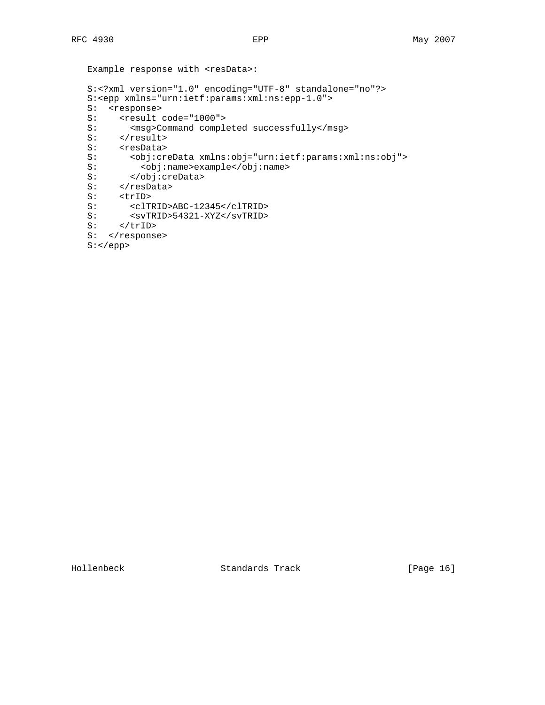```
Example response with <resData>:
   S:<?xml version="1.0" encoding="UTF-8" standalone="no"?>
   S:<epp xmlns="urn:ietf:params:xml:ns:epp-1.0">
  S: <response>
  S: <result code="1000"><br>S: <msg>Command comple
         <msg>Command completed successfully</msg>
S: </result>
 S: <resData>
   S: <obj:creData xmlns:obj="urn:ietf:params:xml:ns:obj">
   S: <obj:name>example</obj:name>
 S: </obj:creData>
S: </resData>
   S: <trID>
  S: <clTRID>ABC-12345</clTRID>
   S: <svTRID>54321-XYZ</svTRID>
  S: <svTR<br>S: </trID>
  S: </response>
   S:</epp>
```
Hollenbeck Standards Track [Page 16]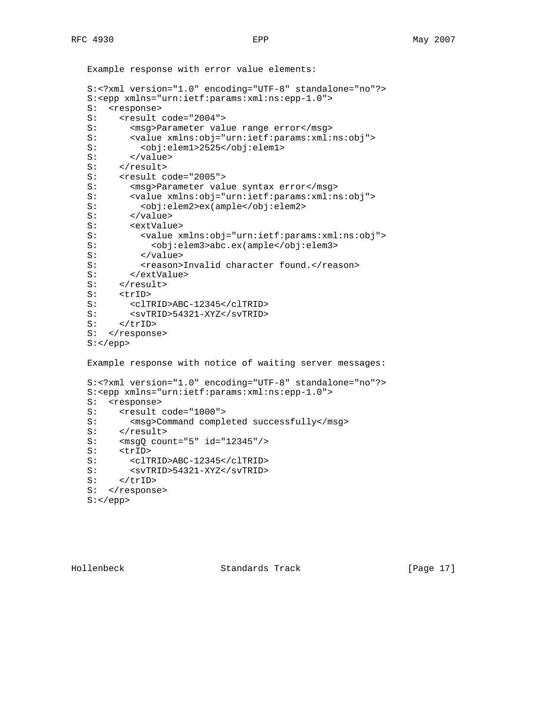```
 Example response with error value elements:
 S:<?xml version="1.0" encoding="UTF-8" standalone="no"?>
 S:<epp xmlns="urn:ietf:params:xml:ns:epp-1.0">
 S: <response>
S: <result code="2004"><br>S: <msq>Parameter val
      <msg>Parameter value range error</msg>
 S: <value xmlns:obj="urn:ietf:params:xml:ns:obj">
 S: <obj:elem1>2525</obj:elem1>
S: </value>
S: </result>
S: <result code="2005">
 S: <msg>Parameter value syntax error</msg>
 S: <value xmlns:obj="urn:ietf:params:xml:ns:obj">
 S: <obj:elem2>ex(ample</obj:elem2>
S: </value>
 S: <extValue>
S: 
value xmlns:obj="urn:ietf:params:xml:ns:obj">
S: 
vobj:elem3>abc.ex(ample</obj:elem3>
            S: <obj:elem3>abc.ex(ample</obj:elem3>
S: </value>
 S: <reason>Invalid character found.</reason>
 S: </extValue>
S: </result>
S: <trID>
 S: <clTRID>ABC-12345</clTRID>
S: <svTRID>54321-XYZ</svTRID>
S: </trID>
S: </response>
 S:</epp>
 Example response with notice of waiting server messages:
 S:<?xml version="1.0" encoding="UTF-8" standalone="no"?>
 S:<epp xmlns="urn:ietf:params:xml:ns:epp-1.0">
 S: <response>
S: <result code="1000">
S: <msg>Command completed successfully</msg>
S: </result>
 S: <msgQ count="5" id="12345"/>
S: <trID>
 S: <clTRID>ABC-12345</clTRID>
 S: <svTRID>54321-XYZ</svTRID>
S: </trID>
S: </response>
 S:</epp>
```
Hollenbeck Standards Track [Page 17]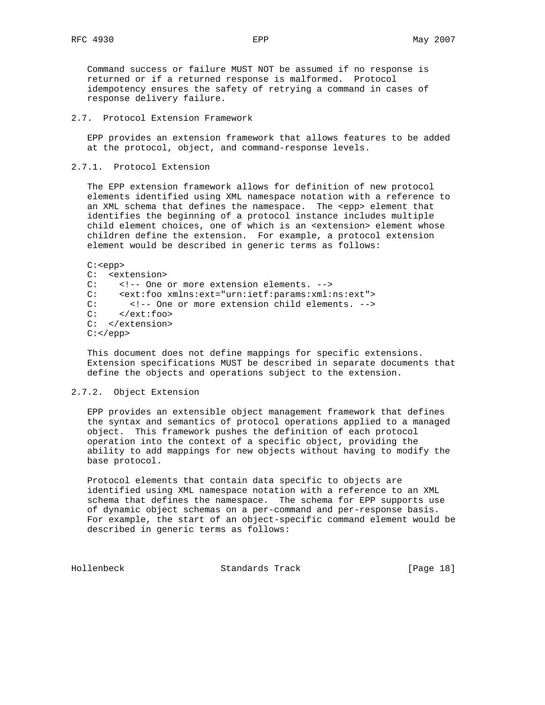Command success or failure MUST NOT be assumed if no response is returned or if a returned response is malformed. Protocol idempotency ensures the safety of retrying a command in cases of response delivery failure.

2.7. Protocol Extension Framework

 EPP provides an extension framework that allows features to be added at the protocol, object, and command-response levels.

2.7.1. Protocol Extension

 The EPP extension framework allows for definition of new protocol elements identified using XML namespace notation with a reference to an XML schema that defines the namespace. The <epp> element that identifies the beginning of a protocol instance includes multiple child element choices, one of which is an <extension> element whose children define the extension. For example, a protocol extension element would be described in generic terms as follows:

 C:<epp> C: <extension> C: <!-- One or more extension elements. --> C: <ext:foo xmlns:ext="urn:ietf:params:xml:ns:ext"> C: <!-- One or more extension child elements. --> C: </ext:foo> C: </extension>  $C:$  </epp>

 This document does not define mappings for specific extensions. Extension specifications MUST be described in separate documents that define the objects and operations subject to the extension.

### 2.7.2. Object Extension

 EPP provides an extensible object management framework that defines the syntax and semantics of protocol operations applied to a managed object. This framework pushes the definition of each protocol operation into the context of a specific object, providing the ability to add mappings for new objects without having to modify the base protocol.

 Protocol elements that contain data specific to objects are identified using XML namespace notation with a reference to an XML schema that defines the namespace. The schema for EPP supports use of dynamic object schemas on a per-command and per-response basis. For example, the start of an object-specific command element would be described in generic terms as follows:

Hollenbeck Standards Track [Page 18]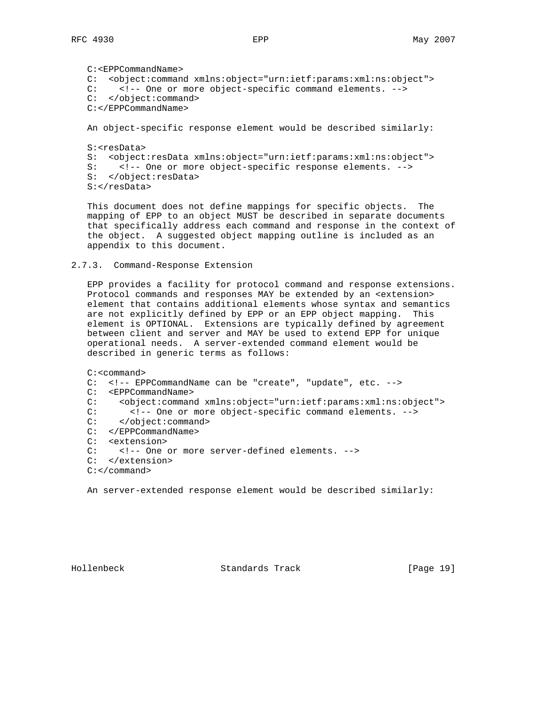```
 C:<EPPCommandName>
 C: <object:command xmlns:object="urn:ietf:params:xml:ns:object">
 C: <!-- One or more object-specific command elements. -->
 C: </object:command>
 C:</EPPCommandName>
 An object-specific response element would be described similarly:
 S:<resData>
 S: <object:resData xmlns:object="urn:ietf:params:xml:ns:object">
 S: <!-- One or more object-specific response elements. -->
 S: </object:resData>
S:</resData>
```
 This document does not define mappings for specific objects. The mapping of EPP to an object MUST be described in separate documents that specifically address each command and response in the context of the object. A suggested object mapping outline is included as an appendix to this document.

2.7.3. Command-Response Extension

 EPP provides a facility for protocol command and response extensions. Protocol commands and responses MAY be extended by an <extension> element that contains additional elements whose syntax and semantics are not explicitly defined by EPP or an EPP object mapping. This element is OPTIONAL. Extensions are typically defined by agreement between client and server and MAY be used to extend EPP for unique operational needs. A server-extended command element would be described in generic terms as follows:

```
 C:<command>
 C: <!-- EPPCommandName can be "create", "update", etc. -->
 C: <EPPCommandName>
 C: <object:command xmlns:object="urn:ietf:params:xml:ns:object">
 C: <!-- One or more object-specific command elements. -->
 C: </object:command>
 C: </EPPCommandName>
 C: <extension>
 C: <!-- One or more server-defined elements. -->
 C: </extension>
 C:</command>
```
An server-extended response element would be described similarly:

Hollenbeck Standards Track [Page 19]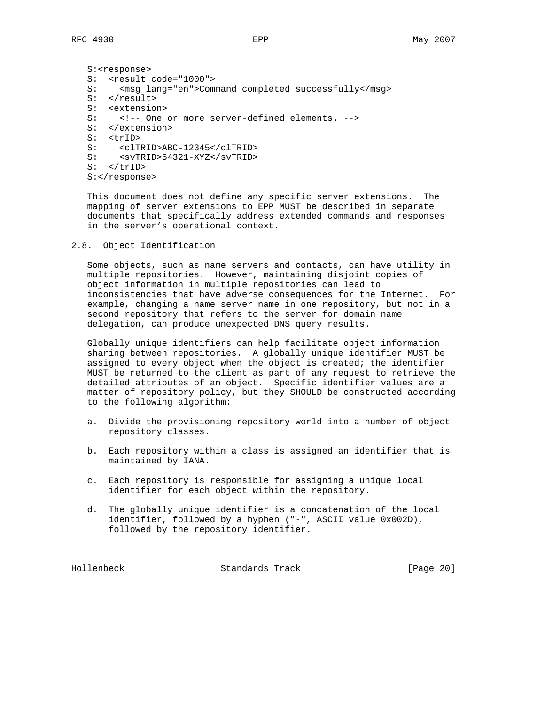S:<response> S: <result code="1000"> S: <msg lang="en">Command completed successfully</msg> S: </result> S: <extension> S: <!-- One or more server-defined elements. --> S: </extension> S: <trID> S: <clTRID>ABC-12345</clTRID> S: <svTRID>54321-XYZ</svTRID> S: </trID> S:</response>

 This document does not define any specific server extensions. The mapping of server extensions to EPP MUST be described in separate documents that specifically address extended commands and responses in the server's operational context.

#### 2.8. Object Identification

 Some objects, such as name servers and contacts, can have utility in multiple repositories. However, maintaining disjoint copies of object information in multiple repositories can lead to inconsistencies that have adverse consequences for the Internet. For example, changing a name server name in one repository, but not in a second repository that refers to the server for domain name delegation, can produce unexpected DNS query results.

 Globally unique identifiers can help facilitate object information sharing between repositories. A globally unique identifier MUST be assigned to every object when the object is created; the identifier MUST be returned to the client as part of any request to retrieve the detailed attributes of an object. Specific identifier values are a matter of repository policy, but they SHOULD be constructed according to the following algorithm:

- a. Divide the provisioning repository world into a number of object repository classes.
- b. Each repository within a class is assigned an identifier that is maintained by IANA.
- c. Each repository is responsible for assigning a unique local identifier for each object within the repository.
- d. The globally unique identifier is a concatenation of the local identifier, followed by a hyphen ("-", ASCII value 0x002D), followed by the repository identifier.

Hollenbeck Standards Track [Page 20]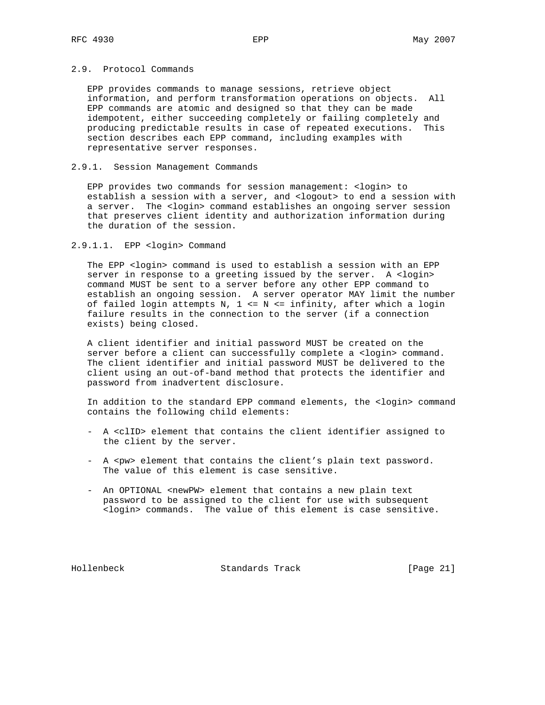# 2.9. Protocol Commands

 EPP provides commands to manage sessions, retrieve object information, and perform transformation operations on objects. All EPP commands are atomic and designed so that they can be made idempotent, either succeeding completely or failing completely and producing predictable results in case of repeated executions. This section describes each EPP command, including examples with representative server responses.

### 2.9.1. Session Management Commands

 EPP provides two commands for session management: <login> to establish a session with a server, and <logout> to end a session with a server. The <login> command establishes an ongoing server session that preserves client identity and authorization information during the duration of the session.

## 2.9.1.1. EPP <login> Command

The EPP <login> command is used to establish a session with an EPP server in response to a greeting issued by the server. A <login> command MUST be sent to a server before any other EPP command to establish an ongoing session. A server operator MAY limit the number of failed login attempts N, 1 <= N <= infinity, after which a login failure results in the connection to the server (if a connection exists) being closed.

 A client identifier and initial password MUST be created on the server before a client can successfully complete a <login> command. The client identifier and initial password MUST be delivered to the client using an out-of-band method that protects the identifier and password from inadvertent disclosure.

 In addition to the standard EPP command elements, the <login> command contains the following child elements:

- A <clID> element that contains the client identifier assigned to the client by the server.
- A <pw> element that contains the client's plain text password. The value of this element is case sensitive.
- An OPTIONAL <newPW> element that contains a new plain text password to be assigned to the client for use with subsequent <login> commands. The value of this element is case sensitive.

Hollenbeck Standards Track [Page 21]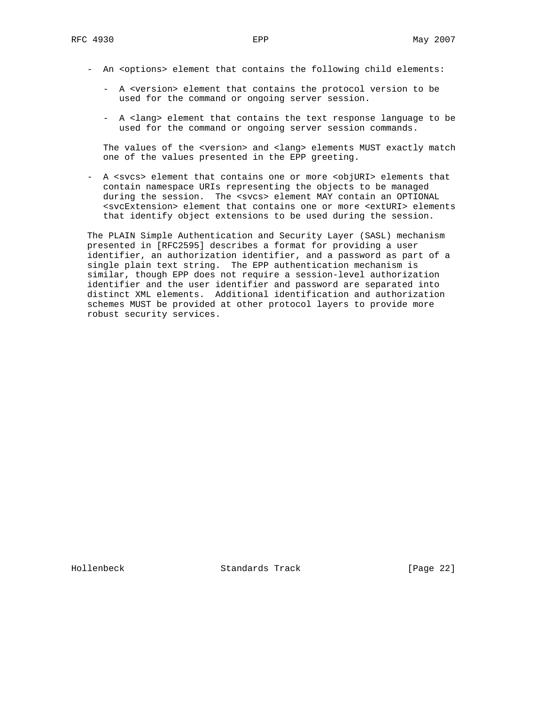- An <options> element that contains the following child elements:
	- A <version> element that contains the protocol version to be used for the command or ongoing server session.
	- A <lang> element that contains the text response language to be used for the command or ongoing server session commands.

The values of the <version> and <lang> elements MUST exactly match one of the values presented in the EPP greeting.

 - A <svcs> element that contains one or more <objURI> elements that contain namespace URIs representing the objects to be managed during the session. The <svcs> element MAY contain an OPTIONAL <svcExtension> element that contains one or more <extURI> elements that identify object extensions to be used during the session.

 The PLAIN Simple Authentication and Security Layer (SASL) mechanism presented in [RFC2595] describes a format for providing a user identifier, an authorization identifier, and a password as part of a single plain text string. The EPP authentication mechanism is similar, though EPP does not require a session-level authorization identifier and the user identifier and password are separated into distinct XML elements. Additional identification and authorization schemes MUST be provided at other protocol layers to provide more robust security services.

Hollenbeck Standards Track [Page 22]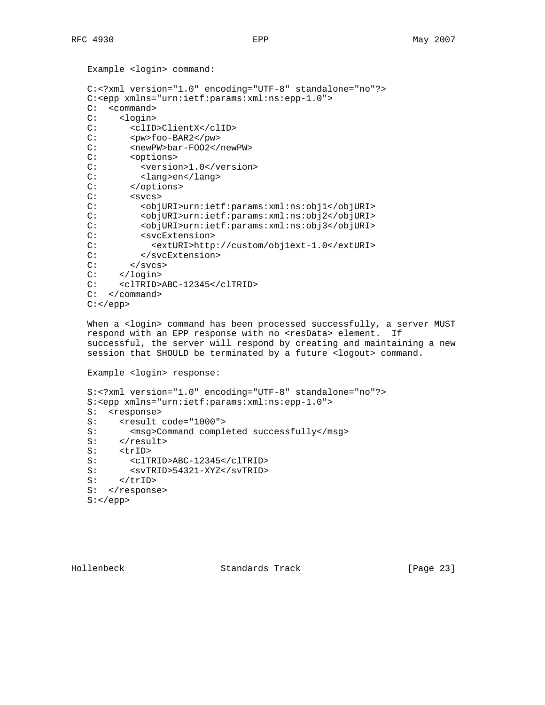Example <login> command:

```
 C:<?xml version="1.0" encoding="UTF-8" standalone="no"?>
 C:<epp xmlns="urn:ietf:params:xml:ns:epp-1.0">
 C: <command>
C: <login><br>C: <clID
       C: <clID>ClientX</clID>
 C: <pw>foo-BAR2</pw>
C: <newPW>bar-F002</newPW>
 C: <options>
C: < version>1.0</version>
C: <lang>en</lang><br>C: </options>
      </options>
 C: <svcs>
 C: <objURI>urn:ietf:params:xml:ns:obj1</objURI>
 C: <objURI>urn:ietf:params:xml:ns:obj2</objURI>
 C: <objURI>urn:ietf:params:xml:ns:obj3</objURI>
 C: <svcExtension>
 C: <extURI>http://custom/obj1ext-1.0</extURI>
 C: </svcExtension>
C: </svcs>
 C: </login>
 C: <clTRID>ABC-12345</clTRID>
 C: </command>
C: </epp>
```
When a <login> command has been processed successfully, a server MUST respond with an EPP response with no <resData> element. If successful, the server will respond by creating and maintaining a new session that SHOULD be terminated by a future <logout> command.

Example <login> response:

 S:<?xml version="1.0" encoding="UTF-8" standalone="no"?> S:<epp xmlns="urn:ietf:params:xml:ns:epp-1.0"> S: <response> S: <result code="1000"> S: <msg>Command completed successfully</msg> S: </result> S: <trID> S: <clTRID>ABC-12345</clTRID> S: <svTRID>54321-XYZ</svTRID> S: </trID> S: </response> S:</epp>

Hollenbeck Standards Track [Page 23]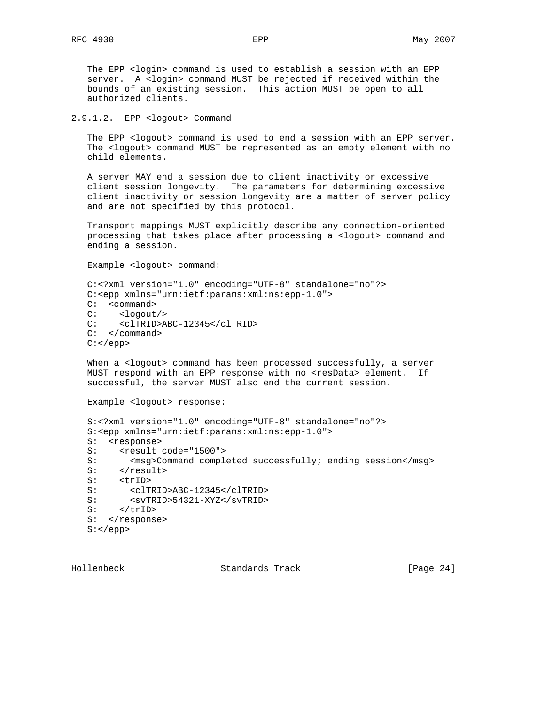The EPP <login> command is used to establish a session with an EPP server. A <login> command MUST be rejected if received within the bounds of an existing session. This action MUST be open to all authorized clients.

2.9.1.2. EPP <logout> Command

The EPP <logout> command is used to end a session with an EPP server. The <logout> command MUST be represented as an empty element with no child elements.

 A server MAY end a session due to client inactivity or excessive client session longevity. The parameters for determining excessive client inactivity or session longevity are a matter of server policy and are not specified by this protocol.

 Transport mappings MUST explicitly describe any connection-oriented processing that takes place after processing a <logout> command and ending a session.

Example <logout> command:

```
 C:<?xml version="1.0" encoding="UTF-8" standalone="no"?>
 C:<epp xmlns="urn:ietf:params:xml:ns:epp-1.0">
C: <command><br>C: <logout
      C: <logout/>
 C: <clTRID>ABC-12345</clTRID>
 C: </command>
C: </epp>
```
 When a <logout> command has been processed successfully, a server MUST respond with an EPP response with no <resData> element. If successful, the server MUST also end the current session.

Example <logout> response:

```
 S:<?xml version="1.0" encoding="UTF-8" standalone="no"?>
 S:<epp xmlns="urn:ietf:params:xml:ns:epp-1.0">
 S: <response>
S: <result code="1500">
S: <msg>Command completed successfully; ending session</msg>
S: </result>
S: <trID>
 S: <clTRID>ABC-12345</clTRID>
S: <svTRID>54321-XYZ</svTRID>
S: </trID>
S: </response>
 S:</epp>
```
Hollenbeck Standards Track [Page 24]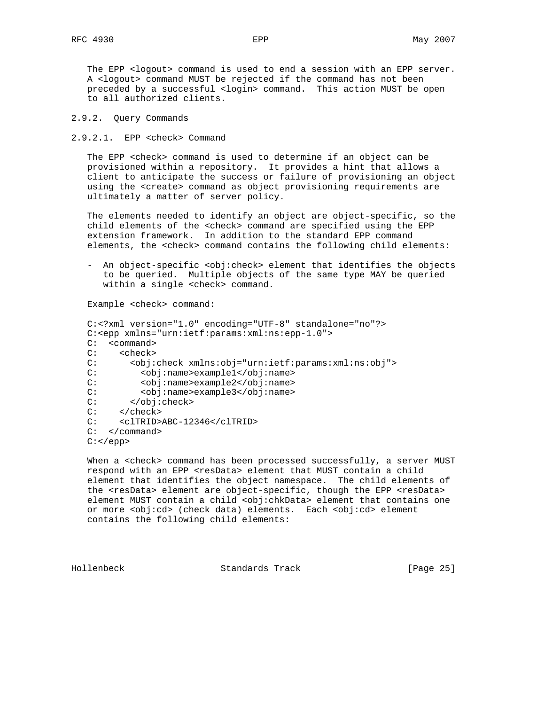The EPP <logout> command is used to end a session with an EPP server. A <logout> command MUST be rejected if the command has not been preceded by a successful <login> command. This action MUST be open to all authorized clients.

### 2.9.2. Query Commands

2.9.2.1. EPP <check> Command

 The EPP <check> command is used to determine if an object can be provisioned within a repository. It provides a hint that allows a client to anticipate the success or failure of provisioning an object using the <create> command as object provisioning requirements are ultimately a matter of server policy.

 The elements needed to identify an object are object-specific, so the child elements of the <check> command are specified using the EPP extension framework. In addition to the standard EPP command elements, the <check> command contains the following child elements:

- An object-specific <obj:check> element that identifies the objects to be queried. Multiple objects of the same type MAY be queried within a single <check> command.

Example <check> command:

```
 C:<?xml version="1.0" encoding="UTF-8" standalone="no"?>
 C:<epp xmlns="urn:ietf:params:xml:ns:epp-1.0">
 C: <command>
C: <check><br>C: <check>
 C: <obj:check xmlns:obj="urn:ietf:params:xml:ns:obj">
         C: <obj:name>example1</obj:name>
 C: <obj:name>example2</obj:name>
C: <obj:name>example3</obj:name>
 C: </obj:check>
 C: </check>
 C: <clTRID>ABC-12346</clTRID>
 C: </command>
C: </epp>
```
When a <check> command has been processed successfully, a server MUST respond with an EPP <resData> element that MUST contain a child element that identifies the object namespace. The child elements of the <resData> element are object-specific, though the EPP <resData> element MUST contain a child <obj:chkData> element that contains one or more <obj:cd> (check data) elements. Each <obj:cd> element contains the following child elements:

Hollenbeck Standards Track [Page 25]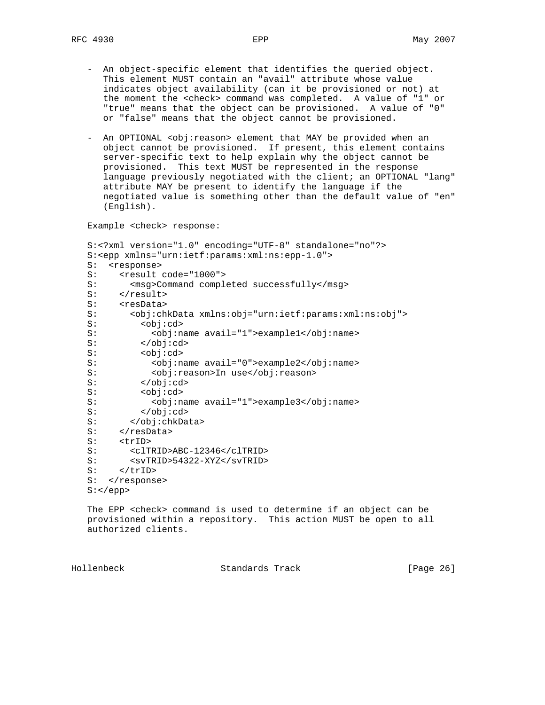- An object-specific element that identifies the queried object. This element MUST contain an "avail" attribute whose value indicates object availability (can it be provisioned or not) at the moment the <check> command was completed. A value of "1" or "true" means that the object can be provisioned. A value of "0" or "false" means that the object cannot be provisioned.
- An OPTIONAL <obj:reason> element that MAY be provided when an object cannot be provisioned. If present, this element contains server-specific text to help explain why the object cannot be provisioned. This text MUST be represented in the response language previously negotiated with the client; an OPTIONAL "lang" attribute MAY be present to identify the language if the negotiated value is something other than the default value of "en" (English).

Example <check> response:

```
 S:<?xml version="1.0" encoding="UTF-8" standalone="no"?>
 S:<epp xmlns="urn:ietf:params:xml:ns:epp-1.0">
 S: <response>
S: <result code="1000">
S: <msg>Command completed successfully</msg>
S: </result>
S: <resData>
 S: <obj:chkData xmlns:obj="urn:ietf:params:xml:ns:obj">
 S: <obj:cd>
 S: <obj:name avail="1">example1</obj:name>
S: </obj:cd>
S: <obj:cd>
 S: <obj:name avail="0">example2</obj:name>
S: <obj:reason>In use</obj:reason>
S: </obj:cd>
 S: <obj:cd>
 S: <obj:name avail="1">example3</obj:name>
S: </obj:cd>
 S: </obj:chkData>
S: </resData>
S: <trID>
 S: <clTRID>ABC-12346</clTRID>
 S: <svTRID>54322-XYZ</svTRID>
S: </trID>
S: </response>
 S:</epp>
```
 The EPP <check> command is used to determine if an object can be provisioned within a repository. This action MUST be open to all authorized clients.

Hollenbeck Standards Track [Page 26]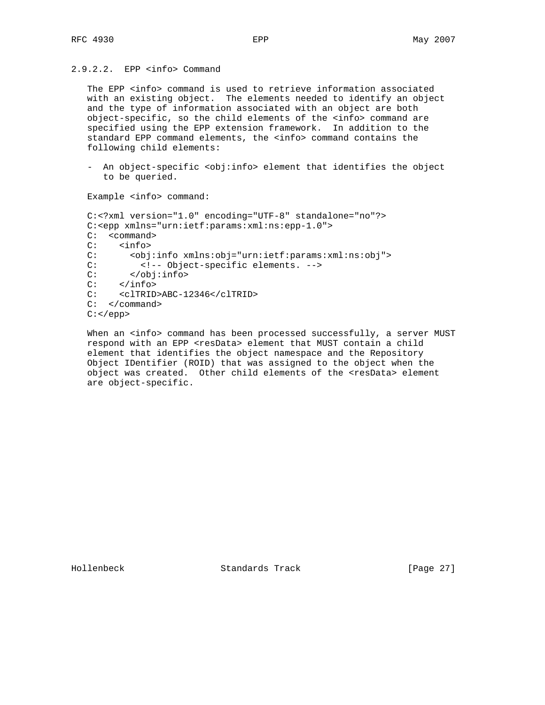# 2.9.2.2. EPP <info> Command

The EPP <info> command is used to retrieve information associated with an existing object. The elements needed to identify an object and the type of information associated with an object are both object-specific, so the child elements of the <info> command are specified using the EPP extension framework. In addition to the standard EPP command elements, the <info> command contains the following child elements:

 - An object-specific <obj:info> element that identifies the object to be queried.

Example <info> command:

```
 C:<?xml version="1.0" encoding="UTF-8" standalone="no"?>
 C:<epp xmlns="urn:ietf:params:xml:ns:epp-1.0">
C: < command>
 C: <info>
 C: <obj:info xmlns:obj="urn:ietf:params:xml:ns:obj">
 C: <!-- Object-specific elements. -->
 C: </obj:info>
C: </info>
 C: <clTRID>ABC-12346</clTRID>
 C: </command>
C: </epp>
```
When an <info> command has been processed successfully, a server MUST respond with an EPP <resData> element that MUST contain a child element that identifies the object namespace and the Repository Object IDentifier (ROID) that was assigned to the object when the object was created. Other child elements of the <resData> element are object-specific.

Hollenbeck Standards Track [Page 27]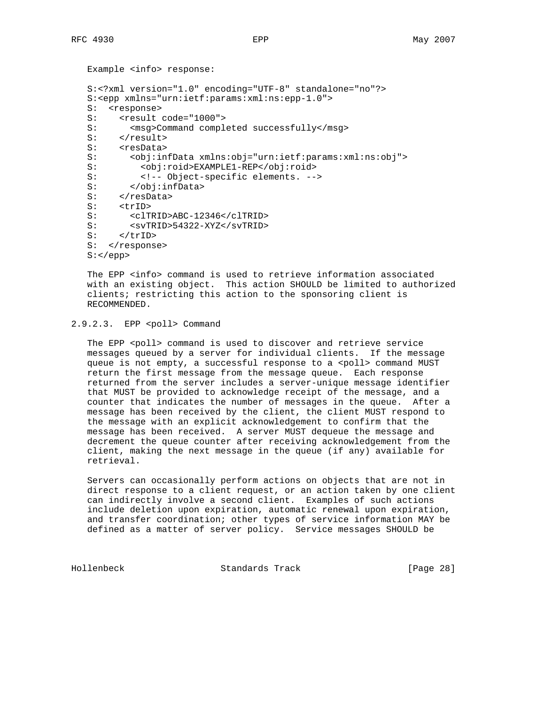```
 Example <info> response:
 S:<?xml version="1.0" encoding="UTF-8" standalone="no"?>
 S:<epp xmlns="urn:ietf:params:xml:ns:epp-1.0">
 S: <response>
S: <result code="1000"><br>S: <msq>Command comple
       S: <msg>Command completed successfully</msg>
S: </result>
S: <resData>
 S: <obj:infData xmlns:obj="urn:ietf:params:xml:ns:obj">
S: <obj:roid>EXAMPLE1-REP</obj:roid>
 S: <!-- Object-specific elements. -->
 S: </obj:infData>
S: </resData>
S: <trID>
 S: <clTRID>ABC-12346</clTRID>
 S: <svTRID>54322-XYZ</svTRID>
 S: </trID>
S: </response>
 S:</epp>
```
 The EPP <info> command is used to retrieve information associated with an existing object. This action SHOULD be limited to authorized clients; restricting this action to the sponsoring client is RECOMMENDED.

### 2.9.2.3. EPP <poll> Command

The EPP <poll> command is used to discover and retrieve service messages queued by a server for individual clients. If the message queue is not empty, a successful response to a <poll> command MUST return the first message from the message queue. Each response returned from the server includes a server-unique message identifier that MUST be provided to acknowledge receipt of the message, and a counter that indicates the number of messages in the queue. After a message has been received by the client, the client MUST respond to the message with an explicit acknowledgement to confirm that the message has been received. A server MUST dequeue the message and decrement the queue counter after receiving acknowledgement from the client, making the next message in the queue (if any) available for retrieval.

 Servers can occasionally perform actions on objects that are not in direct response to a client request, or an action taken by one client can indirectly involve a second client. Examples of such actions include deletion upon expiration, automatic renewal upon expiration, and transfer coordination; other types of service information MAY be defined as a matter of server policy. Service messages SHOULD be

Hollenbeck Standards Track [Page 28]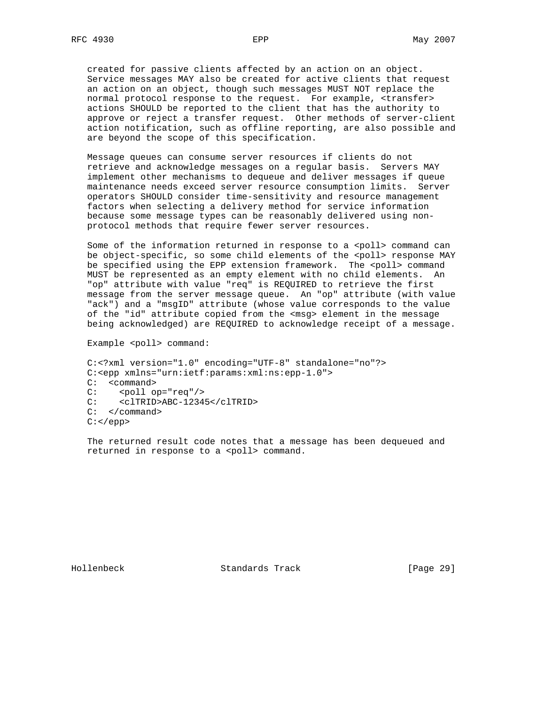created for passive clients affected by an action on an object. Service messages MAY also be created for active clients that request an action on an object, though such messages MUST NOT replace the normal protocol response to the request. For example, <transfer> actions SHOULD be reported to the client that has the authority to approve or reject a transfer request. Other methods of server-client action notification, such as offline reporting, are also possible and are beyond the scope of this specification.

 Message queues can consume server resources if clients do not retrieve and acknowledge messages on a regular basis. Servers MAY implement other mechanisms to dequeue and deliver messages if queue maintenance needs exceed server resource consumption limits. Server operators SHOULD consider time-sensitivity and resource management factors when selecting a delivery method for service information because some message types can be reasonably delivered using non protocol methods that require fewer server resources.

Some of the information returned in response to a <poll> command can be object-specific, so some child elements of the <poll> response MAY be specified using the EPP extension framework. The <poll> command MUST be represented as an empty element with no child elements. An "op" attribute with value "req" is REQUIRED to retrieve the first message from the server message queue. An "op" attribute (with value "ack") and a "msgID" attribute (whose value corresponds to the value of the "id" attribute copied from the <msg> element in the message being acknowledged) are REQUIRED to acknowledge receipt of a message.

Example <poll> command:

```
 C:<?xml version="1.0" encoding="UTF-8" standalone="no"?>
 C:<epp xmlns="urn:ietf:params:xml:ns:epp-1.0">
 C: <command>
C: <poll op="req"/>
C: <clTRID>ABC-12345</clTRID>
 C: </command>
 C:</epp>
```
 The returned result code notes that a message has been dequeued and returned in response to a <poll> command.

Hollenbeck Standards Track [Page 29]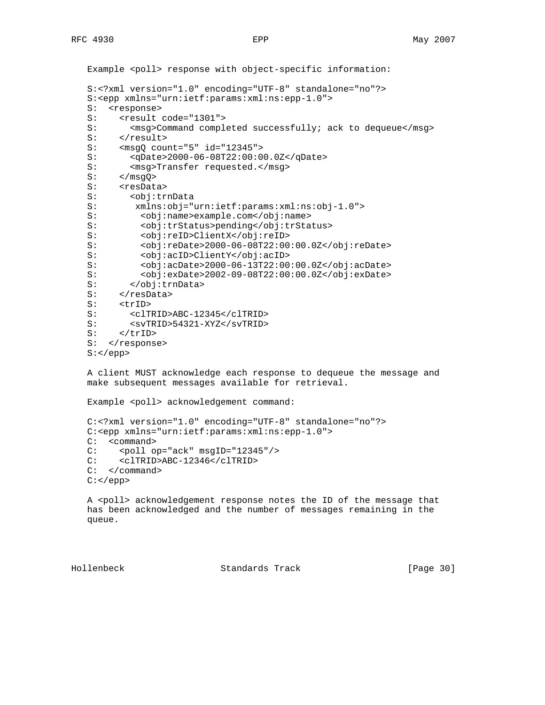```
Example <poll> response with object-specific information:
 S:<?xml version="1.0" encoding="UTF-8" standalone="no"?>
 S:<epp xmlns="urn:ietf:params:xml:ns:epp-1.0">
 S: <response>
S: <result code="1301"><br>S: <msq>Command comple
        S: <msg>Command completed successfully; ack to dequeue</msg>
S: </result>
S: <msgQ count="5" id="12345"><br>S: <qDate>2000-06-08T22:00:00
       S: <qDate>2000-06-08T22:00:00.0Z</qDate>
S: < msg>Transfer requested.</msg>
S: </msgQ><br>S: <resData
     <resData>
 S: <obj:trnData
 S: xmlns:obj="urn:ietf:params:xml:ns:obj-1.0">
 S: <obj:name>example.com</obj:name>
 S: <obj:trStatus>pending</obj:trStatus>
 S: <obj:reID>ClientX</obj:reID>
 S: <obj:reDate>2000-06-08T22:00:00.0Z</obj:reDate>
 S: <obj:acID>ClientY</obj:acID>
 S: <obj:acDate>2000-06-13T22:00:00.0Z</obj:acDate>
           S: <obj:exDate>2002-09-08T22:00:00.0Z</obj:exDate>
 S: </obj:trnData>
S: </resData>
S: <trID>
 S: <clTRID>ABC-12345</clTRID>
S: <svTRID>54321-XYZ</svTRID><br>S: </trID>
      S: </trID>
S: </response>
S: </epp>
 A client MUST acknowledge each response to dequeue the message and
 make subsequent messages available for retrieval.
Example <poll> acknowledgement command:
```

```
 C:<?xml version="1.0" encoding="UTF-8" standalone="no"?>
 C:<epp xmlns="urn:ietf:params:xml:ns:epp-1.0">
 C: <command>
 C: <poll op="ack" msgID="12345"/>
 C: <clTRID>ABC-12346</clTRID>
```

```
 C: </command>
C: </epp>
```
 A <poll> acknowledgement response notes the ID of the message that has been acknowledged and the number of messages remaining in the queue.

Hollenbeck Standards Track [Page 30]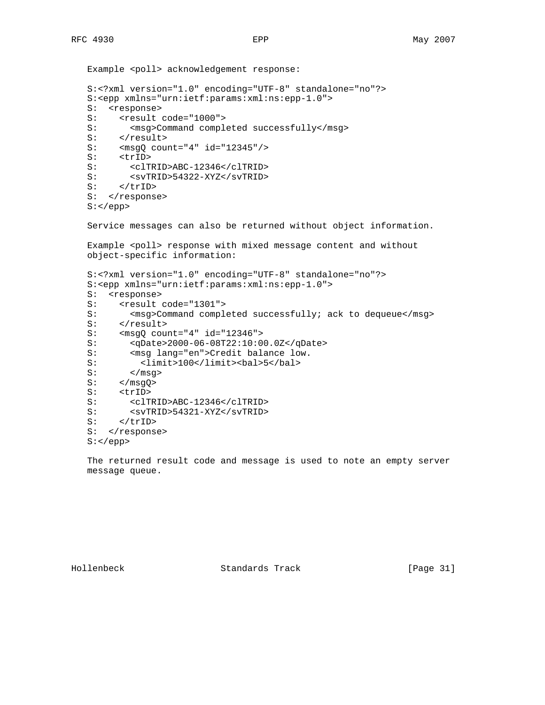```
Example <poll> acknowledgement response:
 S:<?xml version="1.0" encoding="UTF-8" standalone="no"?>
 S:<epp xmlns="urn:ietf:params:xml:ns:epp-1.0">
 S: <response>
S: <result code="1000">
S: <msg>Command completed successfully</msg>
S: </result>
S: \langle \text{msgQ count} = "4" id = "12345" / ><br>S: \langle \text{trID} \rangle S: <trID>
 S: <clTRID>ABC-12346</clTRID>
S: <svTRID>54322-XYZ</svTRID><br>S: </trID>
      S: </trID>
S: </response>
 S:</epp>
 Service messages can also be returned without object information.
Example <poll> response with mixed message content and without
 object-specific information:
 S:<?xml version="1.0" encoding="UTF-8" standalone="no"?>
 S:<epp xmlns="urn:ietf:params:xml:ns:epp-1.0">
 S: <response>
S: <result code="1301">
S: < msg>Command completed successfully; ack to dequeue</msg>
S: </result>
 S: <msgQ count="4" id="12346">
 S: <qDate>2000-06-08T22:10:00.0Z</qDate>
S: < msg lang="en">Credit balance low.
 S: <limit>100</limit><bal>5</bal>
S: </msg>
S: </msgQ>
S: <trID>
 S: <clTRID>ABC-12346</clTRID>
S: <svTRID>54321-XYZ</svTRID>
S: \qquad \qquad \qquad \qquad \qquad \qquad \qquad \qquad \qquad \qquad \qquad \qquad \qquad \qquad \qquad \qquad \qquad \qquad \qquad \qquad \qquad \qquad \qquad \qquad \qquad \qquad \qquad \qquad \qquad \qquad \qquad \qquad \qquadS: </response>
 S:</epp>
```
 The returned result code and message is used to note an empty server message queue.

Hollenbeck Standards Track [Page 31]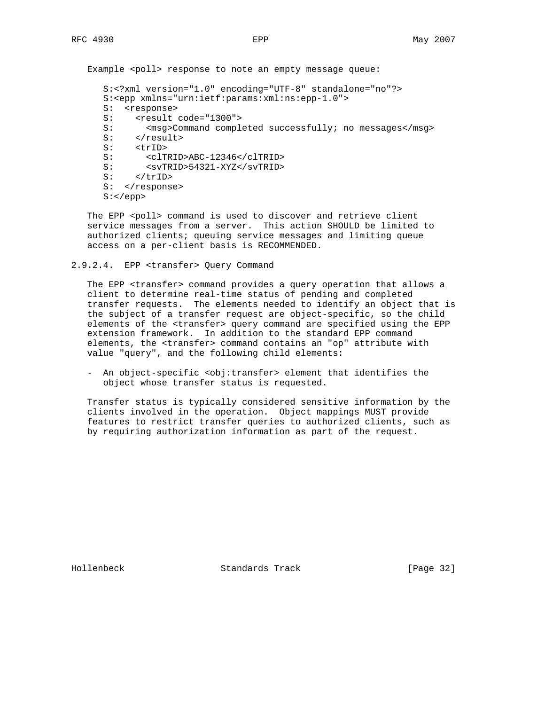```
 S:<?xml version="1.0" encoding="UTF-8" standalone="no"?>
 S:<epp xmlns="urn:ietf:params:xml:ns:epp-1.0">
 S: <response>
S: <result code="1300"><br>S: <msq>Command comple
      <msg>Command completed successfully; no messages</msg>
S: </result>
 S: <trID>
 S: <clTRID>ABC-12346</clTRID>
 S: <svTRID>54321-XYZ</svTRID>
S: </trID>
S: </response>
S: </epp
```
The EPP <poll> command is used to discover and retrieve client service messages from a server. This action SHOULD be limited to authorized clients; queuing service messages and limiting queue access on a per-client basis is RECOMMENDED.

#### 2.9.2.4. EPP <transfer> Query Command

 The EPP <transfer> command provides a query operation that allows a client to determine real-time status of pending and completed transfer requests. The elements needed to identify an object that is the subject of a transfer request are object-specific, so the child elements of the <transfer> query command are specified using the EPP extension framework. In addition to the standard EPP command elements, the <transfer> command contains an "op" attribute with value "query", and the following child elements:

 - An object-specific <obj:transfer> element that identifies the object whose transfer status is requested.

 Transfer status is typically considered sensitive information by the clients involved in the operation. Object mappings MUST provide features to restrict transfer queries to authorized clients, such as by requiring authorization information as part of the request.

Hollenbeck Standards Track [Page 32]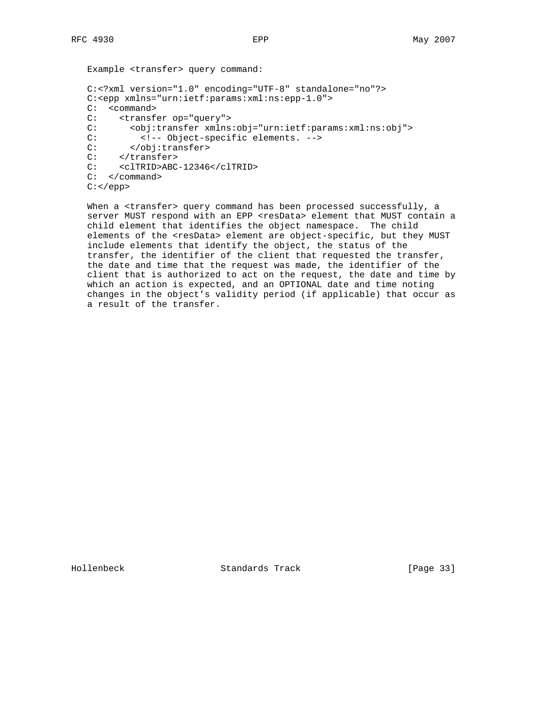```
 Example <transfer> query command:
 C:<?xml version="1.0" encoding="UTF-8" standalone="no"?>
 C:<epp xmlns="urn:ietf:params:xml:ns:epp-1.0">
 C: <command>
C: <transfer op="query"><br>C: <obi:transfer xmlns
       C: <obj:transfer xmlns:obj="urn:ietf:params:xml:ns:obj">
 C: <!-- Object-specific elements. -->
 C: </obj:transfer>
C: </transfer>
 C: <clTRID>ABC-12346</clTRID>
 C: </command>
 C:</epp>
```
When a <transfer> query command has been processed successfully, a server MUST respond with an EPP <resData> element that MUST contain a child element that identifies the object namespace. The child elements of the <resData> element are object-specific, but they MUST include elements that identify the object, the status of the transfer, the identifier of the client that requested the transfer, the date and time that the request was made, the identifier of the client that is authorized to act on the request, the date and time by which an action is expected, and an OPTIONAL date and time noting changes in the object's validity period (if applicable) that occur as a result of the transfer.

Hollenbeck Standards Track [Page 33]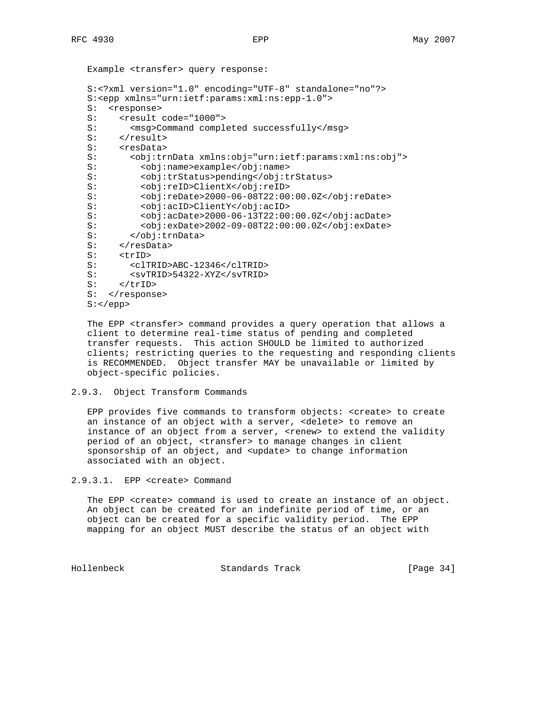```
 Example <transfer> query response:
 S:<?xml version="1.0" encoding="UTF-8" standalone="no"?>
 S:<epp xmlns="urn:ietf:params:xml:ns:epp-1.0">
 S: <response>
S: <result code="1000"><br>S: <msq>Command comple
S: <msg>Command completed successfully</msg><br>S: </result>
    </result>
S: <resData>
 S: <obj:trnData xmlns:obj="urn:ietf:params:xml:ns:obj">
 S: <obj:name>example</obj:name>
 S: <obj:trStatus>pending</obj:trStatus>
 S: <obj:reID>ClientX</obj:reID>
 S: <obj:reDate>2000-06-08T22:00:00.0Z</obj:reDate>
 S: <obj:acID>ClientY</obj:acID>
 S: <obj:acDate>2000-06-13T22:00:00.0Z</obj:acDate>
 S: <obj:exDate>2002-09-08T22:00:00.0Z</obj:exDate>
 S: </obj:trnData>
S: \left\langle \text{resData} \right\rangle S: <trID>
 S: <clTRID>ABC-12346</clTRID>
 S: <svTRID>54322-XYZ</svTRID>
S: </trID>
S: </response>
 S:</epp>
```
 The EPP <transfer> command provides a query operation that allows a client to determine real-time status of pending and completed transfer requests. This action SHOULD be limited to authorized clients; restricting queries to the requesting and responding clients is RECOMMENDED. Object transfer MAY be unavailable or limited by object-specific policies.

### 2.9.3. Object Transform Commands

 EPP provides five commands to transform objects: <create> to create an instance of an object with a server, <delete> to remove an instance of an object from a server, <renew> to extend the validity period of an object, <transfer> to manage changes in client sponsorship of an object, and <update> to change information associated with an object.

```
2.9.3.1. EPP <create> Command
```
 The EPP <create> command is used to create an instance of an object. An object can be created for an indefinite period of time, or an object can be created for a specific validity period. The EPP mapping for an object MUST describe the status of an object with

Hollenbeck Standards Track [Page 34]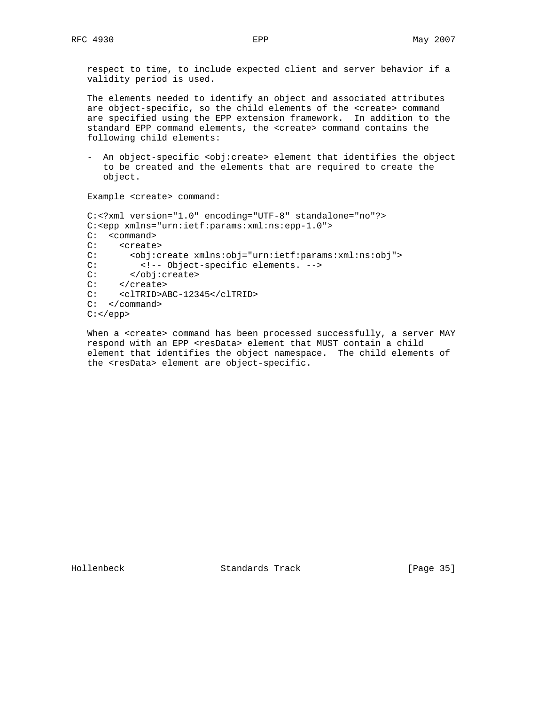respect to time, to include expected client and server behavior if a validity period is used.

 The elements needed to identify an object and associated attributes are object-specific, so the child elements of the <create> command are specified using the EPP extension framework. In addition to the standard EPP command elements, the <create> command contains the following child elements:

 - An object-specific <obj:create> element that identifies the object to be created and the elements that are required to create the object.

Example <create> command:

```
 C:<?xml version="1.0" encoding="UTF-8" standalone="no"?>
 C:<epp xmlns="urn:ietf:params:xml:ns:epp-1.0">
C: < command>
 C: <create>
 C: <obj:create xmlns:obj="urn:ietf:params:xml:ns:obj">
C: \langle -2 \rangle < \langle -2 \rangle = Object-specific elements. \langle -2 \rangle = \langle -2 \rangle = \langle -2 \rangle = \langle 2 \rangle = \langle 2 \rangle = \langle 2 \rangle = \langle 2 \rangle = \langle 2 \rangle = \langle 2 \rangle = \langle 2 \rangle = \langle 2 \rangle = \langle 2 \rangle = \langle 2 \rangle = \langle 2 \rangle = \langle 2 \rangle = \langle 2 \ C: </obj:create>
 C: </create>
 C: <clTRID>ABC-12345</clTRID>
 C: </command>
C: </epp>
```
When a <create> command has been processed successfully, a server MAY respond with an EPP <resData> element that MUST contain a child element that identifies the object namespace. The child elements of the <resData> element are object-specific.

Hollenbeck Standards Track [Page 35]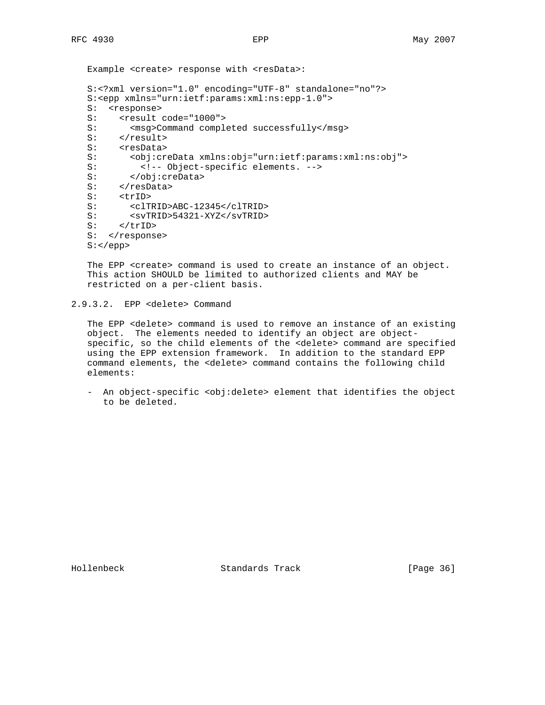Example <create> response with <resData>:

```
 S:<?xml version="1.0" encoding="UTF-8" standalone="no"?>
 S:<epp xmlns="urn:ietf:params:xml:ns:epp-1.0">
S: <response>
S: <result code="1000"><br>S: <msq>Command comple
       <msg>Command completed successfully</msg>
S: </result>
S: <resData><br>S: <br/> <obi:cre
        S: <obj:creData xmlns:obj="urn:ietf:params:xml:ns:obj">
 S: <!-- Object-specific elements. -->
 S: </obj:creData>
S: </resData>
S: <trID>
 S: <clTRID>ABC-12345</clTRID>
 S: <svTRID>54321-XYZ</svTRID>
S: \qquad < /triD> \qquadS: </response>
 S:</epp>
```
 The EPP <create> command is used to create an instance of an object. This action SHOULD be limited to authorized clients and MAY be restricted on a per-client basis.

```
2.9.3.2. EPP <delete> Command
```
 The EPP <delete> command is used to remove an instance of an existing object. The elements needed to identify an object are object specific, so the child elements of the <delete> command are specified using the EPP extension framework. In addition to the standard EPP command elements, the <delete> command contains the following child elements:

- An object-specific <obj:delete> element that identifies the object to be deleted.

Hollenbeck Standards Track [Page 36]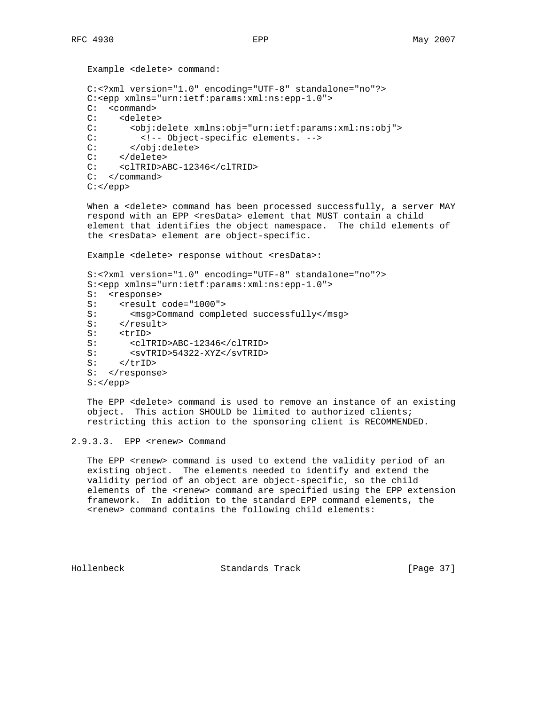```
 Example <delete> command:
 C:<?xml version="1.0" encoding="UTF-8" standalone="no"?>
 C:<epp xmlns="urn:ietf:params:xml:ns:epp-1.0">
 C: <command>
C: <delete><br>C: <obi:d
       C: <obj:delete xmlns:obj="urn:ietf:params:xml:ns:obj">
 C: <!-- Object-specific elements. -->
 C: </obj:delete>
 C: </delete>
 C: <clTRID>ABC-12346</clTRID>
 C: </command>
 C:</epp>
```
When a <delete> command has been processed successfully, a server MAY respond with an EPP <resData> element that MUST contain a child element that identifies the object namespace. The child elements of the <resData> element are object-specific.

Example <delete> response without <resData>:

```
 S:<?xml version="1.0" encoding="UTF-8" standalone="no"?>
 S:<epp xmlns="urn:ietf:params:xml:ns:epp-1.0">
 S: <response>
S: <result code="1000">
 S: <msg>Command completed successfully</msg>
S: </result>
S: <trID>
 S: <clTRID>ABC-12346</clTRID>
S: <svTRID>54322-XYZ</svTRID><br>S: </trID>
     S: </trID>
S: </response>
 S:</epp>
```
 The EPP <delete> command is used to remove an instance of an existing object. This action SHOULD be limited to authorized clients; restricting this action to the sponsoring client is RECOMMENDED.

## 2.9.3.3. EPP <renew> Command

The EPP <renew> command is used to extend the validity period of an existing object. The elements needed to identify and extend the validity period of an object are object-specific, so the child elements of the <renew> command are specified using the EPP extension framework. In addition to the standard EPP command elements, the <renew> command contains the following child elements:

Hollenbeck Standards Track [Page 37]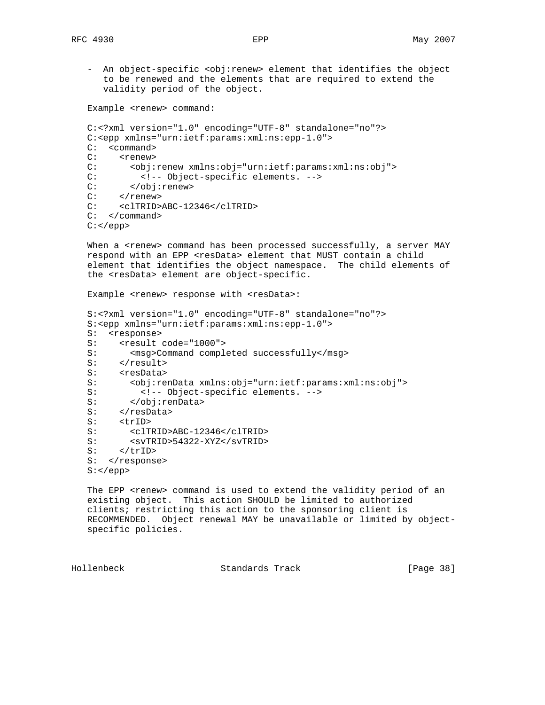- An object-specific <obj:renew> element that identifies the object to be renewed and the elements that are required to extend the validity period of the object.

Example <renew> command:

```
 C:<?xml version="1.0" encoding="UTF-8" standalone="no"?>
 C:<epp xmlns="urn:ietf:params:xml:ns:epp-1.0">
 C: <command>
C: <renew>
 C: <obj:renew xmlns:obj="urn:ietf:params:xml:ns:obj">
 C: <!-- Object-specific elements. -->
 C: </obj:renew>
    </renew>
 C: <clTRID>ABC-12346</clTRID>
 C: </command>
C: </epp>
```
When a <renew> command has been processed successfully, a server MAY respond with an EPP <resData> element that MUST contain a child element that identifies the object namespace. The child elements of the <resData> element are object-specific.

Example <renew> response with <resData>:

```
 S:<?xml version="1.0" encoding="UTF-8" standalone="no"?>
 S:<epp xmlns="urn:ietf:params:xml:ns:epp-1.0">
 S: <response>
S: <result code="1000">
S: <msg>Command completed successfully</msg>
S: </result>
S: <resData>
 S: <obj:renData xmlns:obj="urn:ietf:params:xml:ns:obj">
          S: <!-- Object-specific elements. -->
 S: </obj:renData>
S: </resData>
S: <trID>
 S: <clTRID>ABC-12346</clTRID>
S: <svTRID>54322-XYZ</svTRID>
S: </trID>
S: </response>
S: </epp>
```
The EPP <renew> command is used to extend the validity period of an existing object. This action SHOULD be limited to authorized clients; restricting this action to the sponsoring client is RECOMMENDED. Object renewal MAY be unavailable or limited by object specific policies.

Hollenbeck Standards Track [Page 38]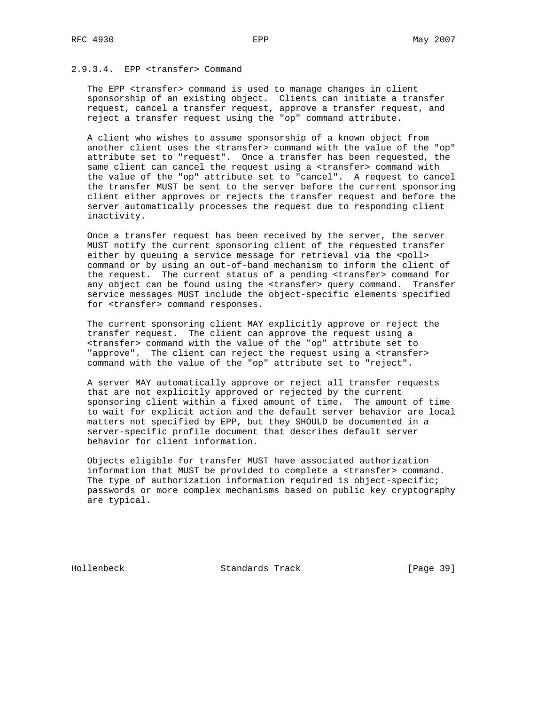## 2.9.3.4. EPP <transfer> Command

 The EPP <transfer> command is used to manage changes in client sponsorship of an existing object. Clients can initiate a transfer request, cancel a transfer request, approve a transfer request, and reject a transfer request using the "op" command attribute.

 A client who wishes to assume sponsorship of a known object from another client uses the <transfer> command with the value of the "op" attribute set to "request". Once a transfer has been requested, the same client can cancel the request using a <transfer> command with the value of the "op" attribute set to "cancel". A request to cancel the transfer MUST be sent to the server before the current sponsoring client either approves or rejects the transfer request and before the server automatically processes the request due to responding client inactivity.

 Once a transfer request has been received by the server, the server MUST notify the current sponsoring client of the requested transfer either by queuing a service message for retrieval via the <poll> command or by using an out-of-band mechanism to inform the client of the request. The current status of a pending <transfer> command for any object can be found using the <transfer> query command. Transfer service messages MUST include the object-specific elements specified for <transfer> command responses.

 The current sponsoring client MAY explicitly approve or reject the transfer request. The client can approve the request using a <transfer> command with the value of the "op" attribute set to "approve". The client can reject the request using a <transfer> command with the value of the "op" attribute set to "reject".

 A server MAY automatically approve or reject all transfer requests that are not explicitly approved or rejected by the current sponsoring client within a fixed amount of time. The amount of time to wait for explicit action and the default server behavior are local matters not specified by EPP, but they SHOULD be documented in a server-specific profile document that describes default server behavior for client information.

 Objects eligible for transfer MUST have associated authorization information that MUST be provided to complete a <transfer> command. The type of authorization information required is object-specific; passwords or more complex mechanisms based on public key cryptography are typical.

Hollenbeck Standards Track [Page 39]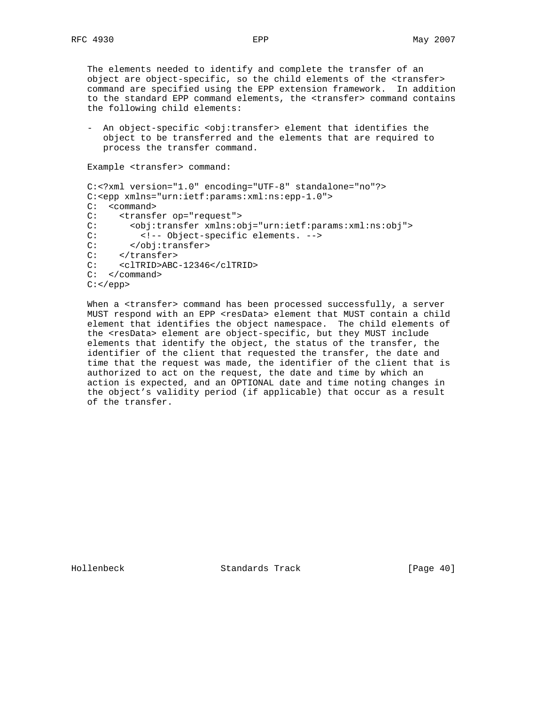The elements needed to identify and complete the transfer of an object are object-specific, so the child elements of the <transfer> command are specified using the EPP extension framework. In addition to the standard EPP command elements, the <transfer> command contains the following child elements:

- An object-specific <obj:transfer> element that identifies the object to be transferred and the elements that are required to process the transfer command.

```
 Example <transfer> command:
```

```
 C:<?xml version="1.0" encoding="UTF-8" standalone="no"?>
 C:<epp xmlns="urn:ietf:params:xml:ns:epp-1.0">
 C: <command>
 C: <transfer op="request">
 C: <obj:transfer xmlns:obj="urn:ietf:params:xml:ns:obj">
C: \langle -1, -2 \rangle <!-- Object-specific elements. --> C: \langle -2, 2 \rangle</obj:transfer>
C: </transfer>
 C: <clTRID>ABC-12346</clTRID>
 C: </command>
 C:</epp>
```
When a <transfer> command has been processed successfully, a server MUST respond with an EPP <resData> element that MUST contain a child element that identifies the object namespace. The child elements of the <resData> element are object-specific, but they MUST include elements that identify the object, the status of the transfer, the identifier of the client that requested the transfer, the date and time that the request was made, the identifier of the client that is authorized to act on the request, the date and time by which an action is expected, and an OPTIONAL date and time noting changes in the object's validity period (if applicable) that occur as a result of the transfer.

Hollenbeck Standards Track [Page 40]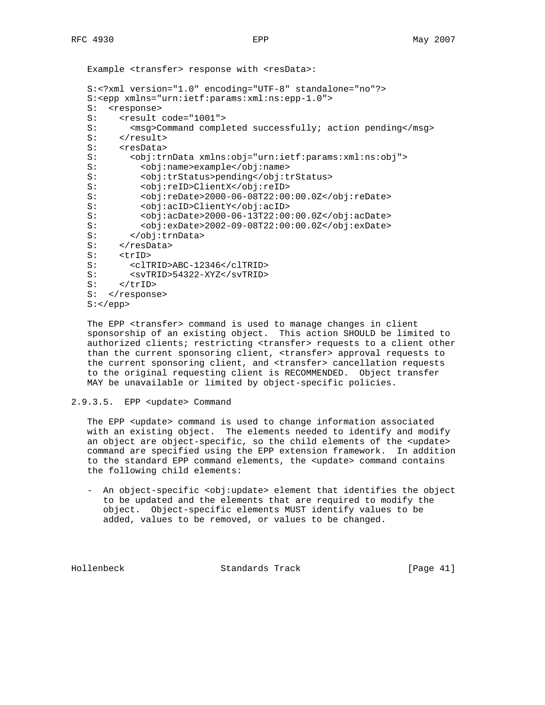```
Example <transfer> response with <resData>:
 S:<?xml version="1.0" encoding="UTF-8" standalone="no"?>
 S:<epp xmlns="urn:ietf:params:xml:ns:epp-1.0">
 S: <response>
S: <result code="1001"><br>S: <msq>Command comple
      <msg>Command completed successfully; action pending</msg>
S: </result>
S: <resData>
 S: <obj:trnData xmlns:obj="urn:ietf:params:xml:ns:obj">
 S: <obj:name>example</obj:name>
 S: <obj:trStatus>pending</obj:trStatus>
 S: <obj:reID>ClientX</obj:reID>
 S: <obj:reDate>2000-06-08T22:00:00.0Z</obj:reDate>
 S: <obj:acID>ClientY</obj:acID>
 S: <obj:acDate>2000-06-13T22:00:00.0Z</obj:acDate>
 S: <obj:exDate>2002-09-08T22:00:00.0Z</obj:exDate>
 S: </obj:trnData>
S: </obj:tri<br>S: </resData>
 S: <trID>
 S: <clTRID>ABC-12346</clTRID>
 S: <svTRID>54322-XYZ</svTRID>
S: </trID>
S: </response>
 S:</epp>
```
 The EPP <transfer> command is used to manage changes in client sponsorship of an existing object. This action SHOULD be limited to authorized clients; restricting <transfer> requests to a client other than the current sponsoring client, <transfer> approval requests to the current sponsoring client, and <transfer> cancellation requests to the original requesting client is RECOMMENDED. Object transfer MAY be unavailable or limited by object-specific policies.

## 2.9.3.5. EPP <update> Command

 The EPP <update> command is used to change information associated with an existing object. The elements needed to identify and modify an object are object-specific, so the child elements of the <update> command are specified using the EPP extension framework. In addition to the standard EPP command elements, the <update> command contains the following child elements:

 - An object-specific <obj:update> element that identifies the object to be updated and the elements that are required to modify the object. Object-specific elements MUST identify values to be added, values to be removed, or values to be changed.

Hollenbeck Standards Track [Page 41]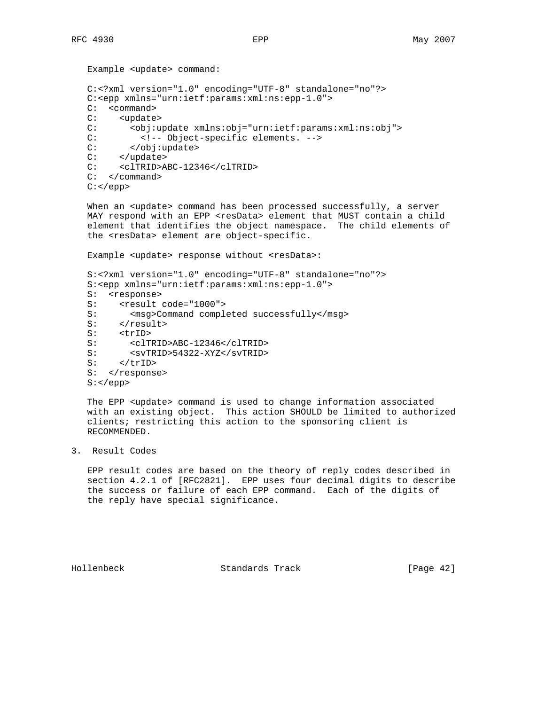```
 Example <update> command:
 C:<?xml version="1.0" encoding="UTF-8" standalone="no"?>
 C:<epp xmlns="urn:ietf:params:xml:ns:epp-1.0">
 C: <command>
C: <update><br>C: <obi:u
       C: <obj:update xmlns:obj="urn:ietf:params:xml:ns:obj">
 C: <!-- Object-specific elements. -->
 C: </obj:update>
C: </update>
 C: <clTRID>ABC-12346</clTRID>
 C: </command>
 C:</epp>
```
When an <update> command has been processed successfully, a server MAY respond with an EPP <resData> element that MUST contain a child element that identifies the object namespace. The child elements of the <resData> element are object-specific.

Example <update> response without <resData>:

```
 S:<?xml version="1.0" encoding="UTF-8" standalone="no"?>
 S:<epp xmlns="urn:ietf:params:xml:ns:epp-1.0">
 S: <response>
S: <result code="1000">
 S: <msg>Command completed successfully</msg>
S: </result>
S: <trID>
 S: <clTRID>ABC-12346</clTRID>
 S: <svTRID>54322-XYZ</svTRID>
    \langletrID>
S: </response>
S: </epp>
```
The EPP <update> command is used to change information associated with an existing object. This action SHOULD be limited to authorized clients; restricting this action to the sponsoring client is RECOMMENDED.

3. Result Codes

 EPP result codes are based on the theory of reply codes described in section 4.2.1 of [RFC2821]. EPP uses four decimal digits to describe the success or failure of each EPP command. Each of the digits of the reply have special significance.

Hollenbeck Standards Track [Page 42]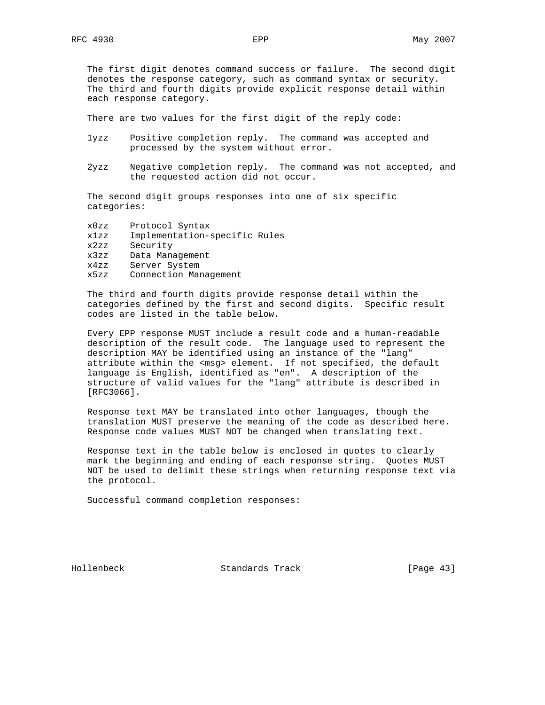The first digit denotes command success or failure. The second digit denotes the response category, such as command syntax or security. The third and fourth digits provide explicit response detail within each response category.

There are two values for the first digit of the reply code:

- 1yzz Positive completion reply. The command was accepted and processed by the system without error.
- 2yzz Negative completion reply. The command was not accepted, and the requested action did not occur.

 The second digit groups responses into one of six specific categories:

| x0zz | Protocol Syntax               |
|------|-------------------------------|
| x1zz | Implementation-specific Rules |
| x2zz | Security                      |
| x3zz | Data Management               |
| x4zz | Server System                 |
| x5zz | Connection Management         |

 The third and fourth digits provide response detail within the categories defined by the first and second digits. Specific result codes are listed in the table below.

 Every EPP response MUST include a result code and a human-readable description of the result code. The language used to represent the description MAY be identified using an instance of the "lang" attribute within the <msg> element. If not specified, the default language is English, identified as "en". A description of the structure of valid values for the "lang" attribute is described in [RFC3066].

 Response text MAY be translated into other languages, though the translation MUST preserve the meaning of the code as described here. Response code values MUST NOT be changed when translating text.

 Response text in the table below is enclosed in quotes to clearly mark the beginning and ending of each response string. Quotes MUST NOT be used to delimit these strings when returning response text via the protocol.

Successful command completion responses:

Hollenbeck Standards Track [Page 43]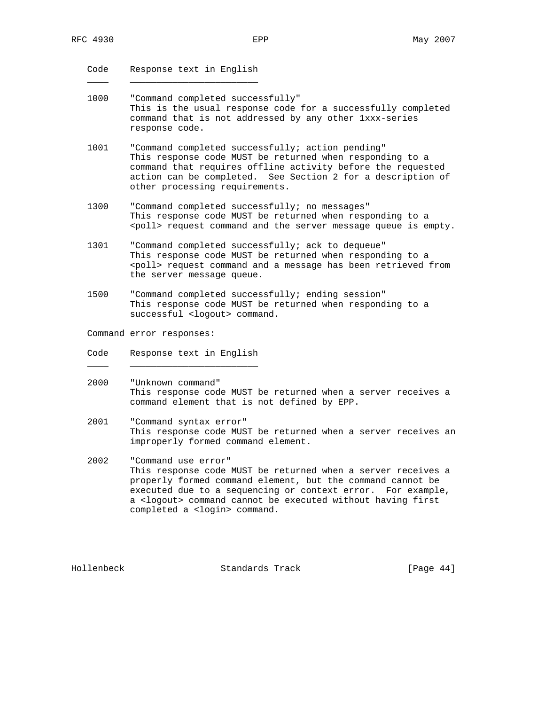Code Response text in English

 $\frac{1}{\sqrt{2}}$  ,  $\frac{1}{\sqrt{2}}$  ,  $\frac{1}{\sqrt{2}}$  ,  $\frac{1}{\sqrt{2}}$  ,  $\frac{1}{\sqrt{2}}$  ,  $\frac{1}{\sqrt{2}}$  ,  $\frac{1}{\sqrt{2}}$  ,  $\frac{1}{\sqrt{2}}$  ,  $\frac{1}{\sqrt{2}}$  ,  $\frac{1}{\sqrt{2}}$  ,  $\frac{1}{\sqrt{2}}$  ,  $\frac{1}{\sqrt{2}}$  ,  $\frac{1}{\sqrt{2}}$  ,  $\frac{1}{\sqrt{2}}$  ,  $\frac{1}{\sqrt{2}}$ 

- 1000 "Command completed successfully" This is the usual response code for a successfully completed command that is not addressed by any other 1xxx-series response code.
- 1001 "Command completed successfully; action pending" This response code MUST be returned when responding to a command that requires offline activity before the requested action can be completed. See Section 2 for a description of other processing requirements.
- 1300 "Command completed successfully; no messages" This response code MUST be returned when responding to a <poll> request command and the server message queue is empty.
- 1301 "Command completed successfully; ack to dequeue" This response code MUST be returned when responding to a <poll> request command and a message has been retrieved from the server message queue.
- 1500 "Command completed successfully; ending session" This response code MUST be returned when responding to a successful <logout> command.

Command error responses:

Code Response text in English

 $\frac{1}{\sqrt{2}}$  ,  $\frac{1}{\sqrt{2}}$  ,  $\frac{1}{\sqrt{2}}$  ,  $\frac{1}{\sqrt{2}}$  ,  $\frac{1}{\sqrt{2}}$  ,  $\frac{1}{\sqrt{2}}$  ,  $\frac{1}{\sqrt{2}}$  ,  $\frac{1}{\sqrt{2}}$  ,  $\frac{1}{\sqrt{2}}$  ,  $\frac{1}{\sqrt{2}}$  ,  $\frac{1}{\sqrt{2}}$  ,  $\frac{1}{\sqrt{2}}$  ,  $\frac{1}{\sqrt{2}}$  ,  $\frac{1}{\sqrt{2}}$  ,  $\frac{1}{\sqrt{2}}$ 

- 2000 "Unknown command" This response code MUST be returned when a server receives a command element that is not defined by EPP.
- 2001 "Command syntax error" This response code MUST be returned when a server receives an improperly formed command element.
- 2002 "Command use error" This response code MUST be returned when a server receives a properly formed command element, but the command cannot be executed due to a sequencing or context error. For example, a <logout> command cannot be executed without having first completed a <login> command.

Hollenbeck Standards Track [Page 44]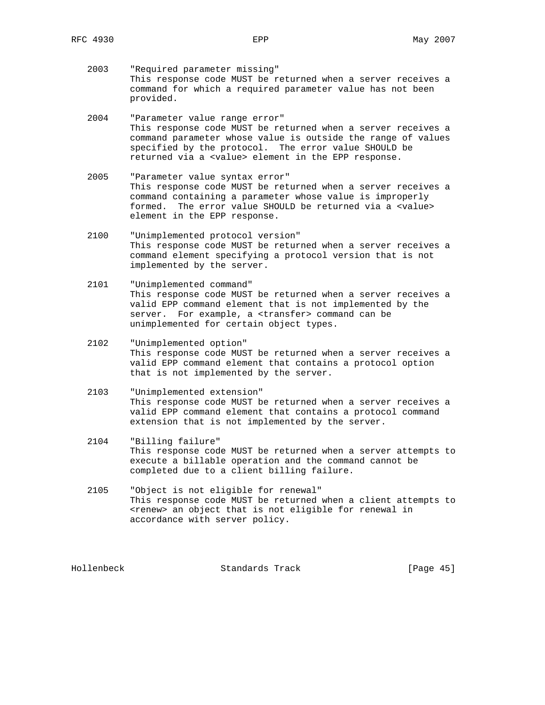- 2003 "Required parameter missing" This response code MUST be returned when a server receives a command for which a required parameter value has not been provided.
- 2004 "Parameter value range error" This response code MUST be returned when a server receives a command parameter whose value is outside the range of values specified by the protocol. The error value SHOULD be returned via a <value> element in the EPP response.
- 2005 "Parameter value syntax error" This response code MUST be returned when a server receives a command containing a parameter whose value is improperly formed. The error value SHOULD be returned via a <value> element in the EPP response.
- 2100 "Unimplemented protocol version" This response code MUST be returned when a server receives a command element specifying a protocol version that is not implemented by the server.
- 2101 "Unimplemented command" This response code MUST be returned when a server receives a valid EPP command element that is not implemented by the server. For example, a <transfer> command can be unimplemented for certain object types.
- 2102 "Unimplemented option" This response code MUST be returned when a server receives a valid EPP command element that contains a protocol option that is not implemented by the server.
- 2103 "Unimplemented extension" This response code MUST be returned when a server receives a valid EPP command element that contains a protocol command extension that is not implemented by the server.
- 2104 "Billing failure" This response code MUST be returned when a server attempts to execute a billable operation and the command cannot be completed due to a client billing failure.
- 2105 "Object is not eligible for renewal" This response code MUST be returned when a client attempts to <renew> an object that is not eligible for renewal in accordance with server policy.

Hollenbeck Standards Track [Page 45]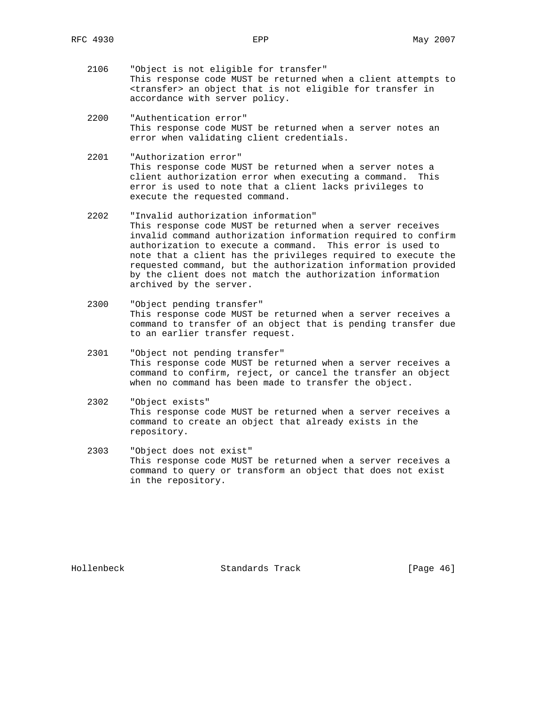- 2106 "Object is not eligible for transfer" This response code MUST be returned when a client attempts to <transfer> an object that is not eligible for transfer in accordance with server policy.
- 2200 "Authentication error" This response code MUST be returned when a server notes an error when validating client credentials.
- 2201 "Authorization error" This response code MUST be returned when a server notes a client authorization error when executing a command. This error is used to note that a client lacks privileges to execute the requested command.
- 2202 "Invalid authorization information" This response code MUST be returned when a server receives invalid command authorization information required to confirm authorization to execute a command. This error is used to note that a client has the privileges required to execute the requested command, but the authorization information provided by the client does not match the authorization information archived by the server.
- 2300 "Object pending transfer" This response code MUST be returned when a server receives a command to transfer of an object that is pending transfer due to an earlier transfer request.
- 2301 "Object not pending transfer" This response code MUST be returned when a server receives a command to confirm, reject, or cancel the transfer an object when no command has been made to transfer the object.
- 2302 "Object exists" This response code MUST be returned when a server receives a command to create an object that already exists in the repository.
- 2303 "Object does not exist" This response code MUST be returned when a server receives a command to query or transform an object that does not exist in the repository.

Hollenbeck Standards Track [Page 46]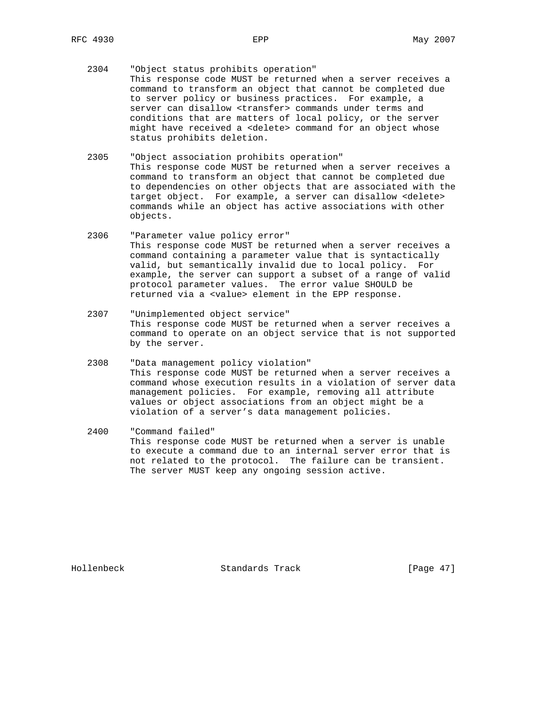- 2304 "Object status prohibits operation" This response code MUST be returned when a server receives a command to transform an object that cannot be completed due to server policy or business practices. For example, a server can disallow <transfer> commands under terms and conditions that are matters of local policy, or the server might have received a <delete> command for an object whose status prohibits deletion.
- 2305 "Object association prohibits operation" This response code MUST be returned when a server receives a command to transform an object that cannot be completed due to dependencies on other objects that are associated with the target object. For example, a server can disallow <delete> commands while an object has active associations with other objects.
- 2306 "Parameter value policy error" This response code MUST be returned when a server receives a command containing a parameter value that is syntactically valid, but semantically invalid due to local policy. For example, the server can support a subset of a range of valid protocol parameter values. The error value SHOULD be returned via a <value> element in the EPP response.
- 2307 "Unimplemented object service" This response code MUST be returned when a server receives a command to operate on an object service that is not supported by the server.
- 2308 "Data management policy violation" This response code MUST be returned when a server receives a command whose execution results in a violation of server data management policies. For example, removing all attribute values or object associations from an object might be a violation of a server's data management policies.
- 2400 "Command failed" This response code MUST be returned when a server is unable to execute a command due to an internal server error that is not related to the protocol. The failure can be transient. The server MUST keep any ongoing session active.

Hollenbeck Standards Track [Page 47]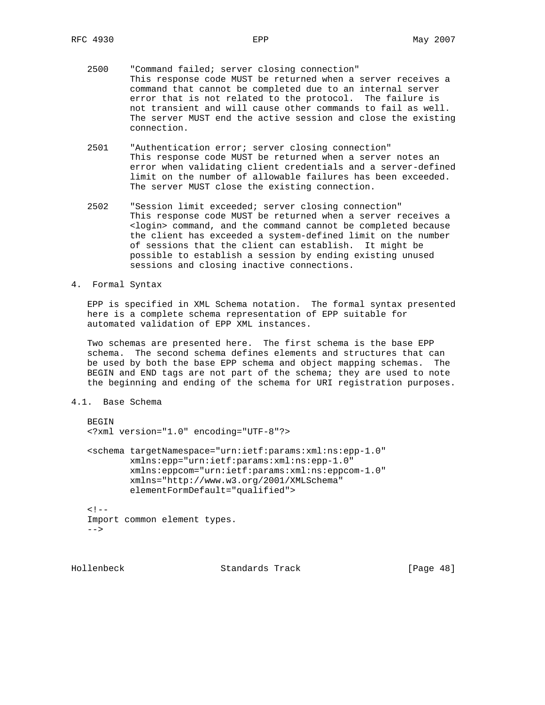- 2500 "Command failed; server closing connection" This response code MUST be returned when a server receives a command that cannot be completed due to an internal server error that is not related to the protocol. The failure is not transient and will cause other commands to fail as well. The server MUST end the active session and close the existing connection.
- 2501 "Authentication error; server closing connection" This response code MUST be returned when a server notes an error when validating client credentials and a server-defined limit on the number of allowable failures has been exceeded. The server MUST close the existing connection.
- 2502 "Session limit exceeded; server closing connection" This response code MUST be returned when a server receives a <login> command, and the command cannot be completed because the client has exceeded a system-defined limit on the number of sessions that the client can establish. It might be possible to establish a session by ending existing unused sessions and closing inactive connections.
- 4. Formal Syntax

 EPP is specified in XML Schema notation. The formal syntax presented here is a complete schema representation of EPP suitable for automated validation of EPP XML instances.

 Two schemas are presented here. The first schema is the base EPP schema. The second schema defines elements and structures that can be used by both the base EPP schema and object mapping schemas. The BEGIN and END tags are not part of the schema; they are used to note the beginning and ending of the schema for URI registration purposes.

4.1. Base Schema

```
 BEGIN
 <?xml version="1.0" encoding="UTF-8"?>
 <schema targetNamespace="urn:ietf:params:xml:ns:epp-1.0"
         xmlns:epp="urn:ietf:params:xml:ns:epp-1.0"
         xmlns:eppcom="urn:ietf:params:xml:ns:eppcom-1.0"
         xmlns="http://www.w3.org/2001/XMLSchema"
         elementFormDefault="qualified">
<! -- Import common element types.
--&>
```
Hollenbeck Standards Track [Page 48]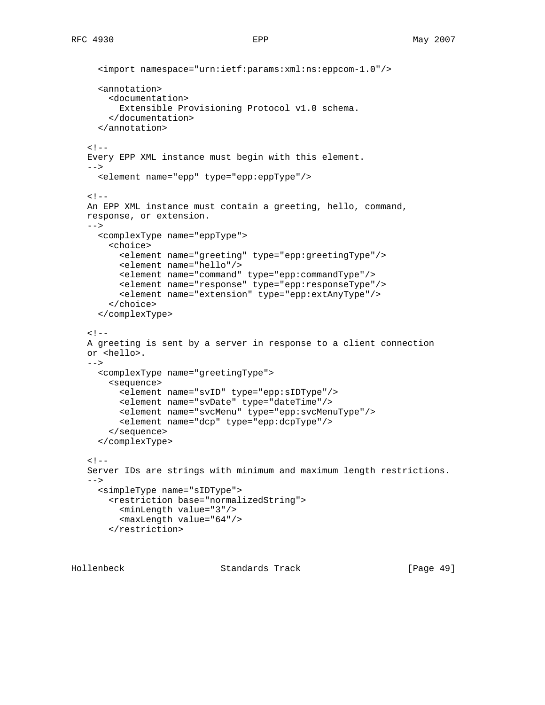```
 <import namespace="urn:ietf:params:xml:ns:eppcom-1.0"/>
   <annotation>
     <documentation>
       Extensible Provisioning Protocol v1.0 schema.
     </documentation>
   </annotation>
< ! - - Every EPP XML instance must begin with this element.
--&> <element name="epp" type="epp:eppType"/>
< ! -- An EPP XML instance must contain a greeting, hello, command,
 response, or extension.
--&> <complexType name="eppType">
     <choice>
       <element name="greeting" type="epp:greetingType"/>
       <element name="hello"/>
       <element name="command" type="epp:commandType"/>
       <element name="response" type="epp:responseType"/>
       <element name="extension" type="epp:extAnyType"/>
     </choice>
   </complexType>
<! - A greeting is sent by a server in response to a client connection
 or <hello>.
--&> <complexType name="greetingType">
     <sequence>
       <element name="svID" type="epp:sIDType"/>
       <element name="svDate" type="dateTime"/>
       <element name="svcMenu" type="epp:svcMenuType"/>
       <element name="dcp" type="epp:dcpType"/>
     </sequence>
   </complexType>
<! - Server IDs are strings with minimum and maximum length restrictions.
-- <simpleType name="sIDType">
     <restriction base="normalizedString">
      <minLength value="3"/>
       <maxLength value="64"/>
     </restriction>
```
Hollenbeck Standards Track [Page 49]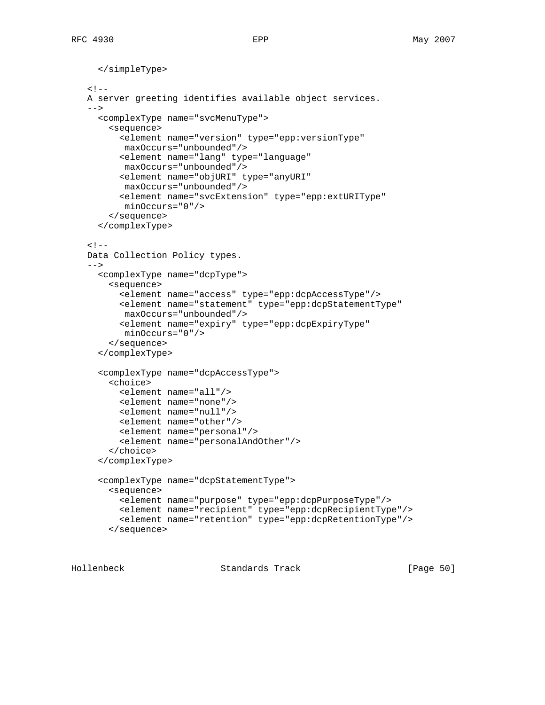```
 </simpleType>
\lt! --
 A server greeting identifies available object services.
--&> <complexType name="svcMenuType">
     <sequence>
       <element name="version" type="epp:versionType"
       maxOccurs="unbounded"/>
       <element name="lang" type="language"
       maxOccurs="unbounded"/>
       <element name="objURI" type="anyURI"
        maxOccurs="unbounded"/>
       <element name="svcExtension" type="epp:extURIType"
        minOccurs="0"/>
     </sequence>
   </complexType>
<! - Data Collection Policy types.
--&> <complexType name="dcpType">
     <sequence>
       <element name="access" type="epp:dcpAccessType"/>
       <element name="statement" type="epp:dcpStatementType"
       maxOccurs="unbounded"/>
       <element name="expiry" type="epp:dcpExpiryType"
        minOccurs="0"/>
     </sequence>
   </complexType>
   <complexType name="dcpAccessType">
     <choice>
       <element name="all"/>
       <element name="none"/>
       <element name="null"/>
       <element name="other"/>
       <element name="personal"/>
       <element name="personalAndOther"/>
     </choice>
   </complexType>
   <complexType name="dcpStatementType">
     <sequence>
       <element name="purpose" type="epp:dcpPurposeType"/>
       <element name="recipient" type="epp:dcpRecipientType"/>
       <element name="retention" type="epp:dcpRetentionType"/>
     </sequence>
```
Hollenbeck Standards Track [Page 50]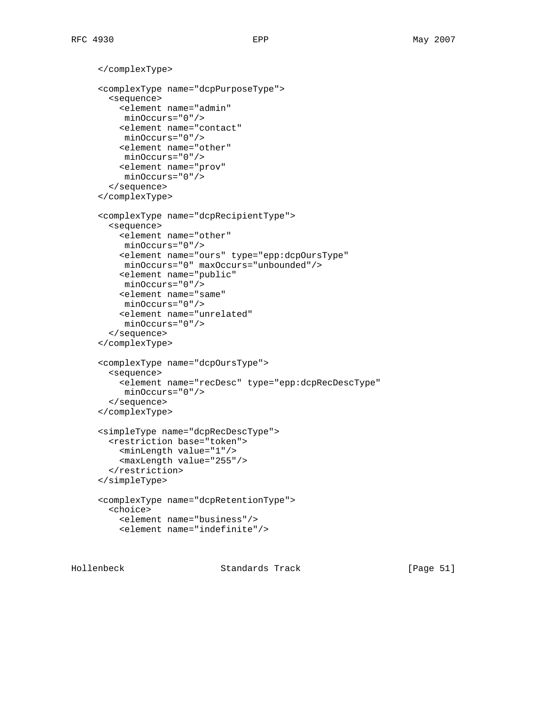</complexType>

```
 <complexType name="dcpPurposeType">
   <sequence>
     <element name="admin"
     minOccurs="0"/>
     <element name="contact"
     minOccurs="0"/>
     <element name="other"
     minOccurs="0"/>
     <element name="prov"
     minOccurs="0"/>
   </sequence>
 </complexType>
 <complexType name="dcpRecipientType">
   <sequence>
     <element name="other"
     minOccurs="0"/>
     <element name="ours" type="epp:dcpOursType"
     minOccurs="0" maxOccurs="unbounded"/>
     <element name="public"
     minOccurs="0"/>
     <element name="same"
     minOccurs="0"/>
     <element name="unrelated"
     minOccurs="0"/>
   </sequence>
 </complexType>
 <complexType name="dcpOursType">
   <sequence>
     <element name="recDesc" type="epp:dcpRecDescType"
     minOccurs="0"/>
   </sequence>
 </complexType>
 <simpleType name="dcpRecDescType">
   <restriction base="token">
     <minLength value="1"/>
     <maxLength value="255"/>
   </restriction>
 </simpleType>
 <complexType name="dcpRetentionType">
   <choice>
     <element name="business"/>
     <element name="indefinite"/>
```
Hollenbeck Standards Track [Page 51]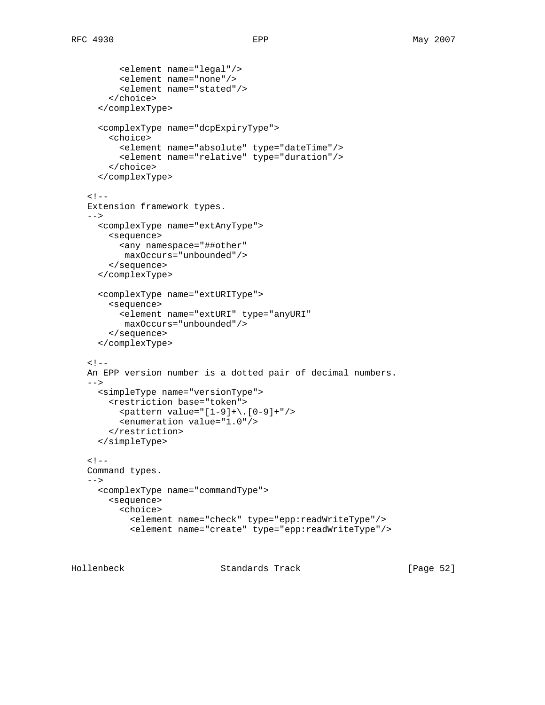```
 <element name="legal"/>
       <element name="none"/>
       <element name="stated"/>
     </choice>
   </complexType>
   <complexType name="dcpExpiryType">
     <choice>
       <element name="absolute" type="dateTime"/>
       <element name="relative" type="duration"/>
     </choice>
   </complexType>
< ! -- Extension framework types.
--&> <complexType name="extAnyType">
     <sequence>
       <any namespace="##other"
       maxOccurs="unbounded"/>
     </sequence>
   </complexType>
   <complexType name="extURIType">
     <sequence>
       <element name="extURI" type="anyURI"
        maxOccurs="unbounded"/>
     </sequence>
   </complexType>
<! - An EPP version number is a dotted pair of decimal numbers.
--&> <simpleType name="versionType">
     <restriction base="token">
      \epsilon <pattern value="[1-9]+\.[0-9]+"/>
       <enumeration value="1.0"/>
     </restriction>
   </simpleType>
<! - Command types.
--&> <complexType name="commandType">
     <sequence>
       <choice>
         <element name="check" type="epp:readWriteType"/>
         <element name="create" type="epp:readWriteType"/>
```
Hollenbeck Standards Track [Page 52]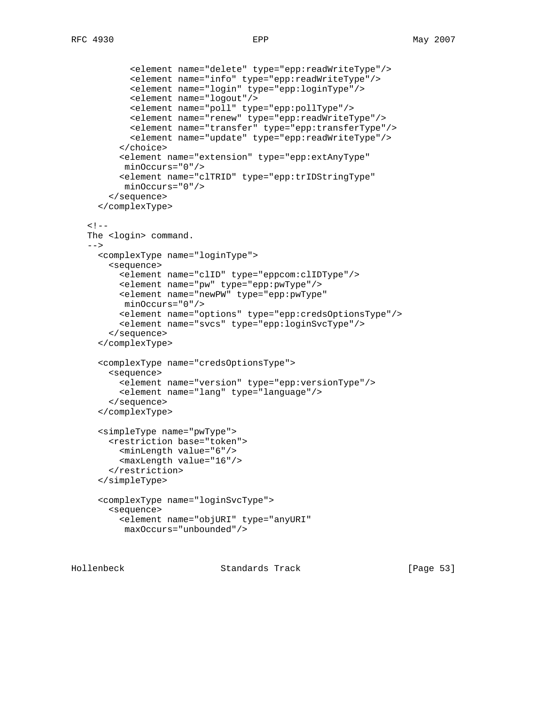```
 <element name="delete" type="epp:readWriteType"/>
         <element name="info" type="epp:readWriteType"/>
         <element name="login" type="epp:loginType"/>
         <element name="logout"/>
         <element name="poll" type="epp:pollType"/>
         <element name="renew" type="epp:readWriteType"/>
         <element name="transfer" type="epp:transferType"/>
         <element name="update" type="epp:readWriteType"/>
       </choice>
       <element name="extension" type="epp:extAnyType"
       minOccurs="0"/>
       <element name="clTRID" type="epp:trIDStringType"
        minOccurs="0"/>
     </sequence>
   </complexType>
< ! --The <login> command.
-- <complexType name="loginType">
     <sequence>
       <element name="clID" type="eppcom:clIDType"/>
       <element name="pw" type="epp:pwType"/>
       <element name="newPW" type="epp:pwType"
       minOccurs="0"/>
       <element name="options" type="epp:credsOptionsType"/>
       <element name="svcs" type="epp:loginSvcType"/>
     </sequence>
   </complexType>
   <complexType name="credsOptionsType">
     <sequence>
       <element name="version" type="epp:versionType"/>
       <element name="lang" type="language"/>
     </sequence>
   </complexType>
   <simpleType name="pwType">
     <restriction base="token">
       <minLength value="6"/>
       <maxLength value="16"/>
     </restriction>
   </simpleType>
   <complexType name="loginSvcType">
     <sequence>
       <element name="objURI" type="anyURI"
       maxOccurs="unbounded"/>
```
Hollenbeck Standards Track [Page 53]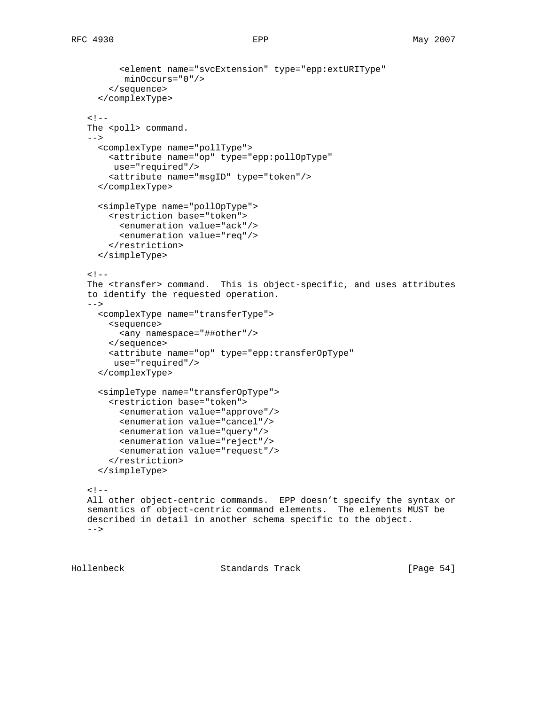```
 <element name="svcExtension" type="epp:extURIType"
        minOccurs="0"/>
     </sequence>
   </complexType>
< ! - -The <poll> command.
 -->
   <complexType name="pollType">
     <attribute name="op" type="epp:pollOpType"
      use="required"/>
     <attribute name="msgID" type="token"/>
   </complexType>
   <simpleType name="pollOpType">
     <restriction base="token">
       <enumeration value="ack"/>
       <enumeration value="req"/>
     </restriction>
   </simpleType>
<! - The <transfer> command. This is object-specific, and uses attributes
 to identify the requested operation.
-- <complexType name="transferType">
     <sequence>
       <any namespace="##other"/>
     </sequence>
     <attribute name="op" type="epp:transferOpType"
      use="required"/>
   </complexType>
   <simpleType name="transferOpType">
     <restriction base="token">
       <enumeration value="approve"/>
       <enumeration value="cancel"/>
       <enumeration value="query"/>
       <enumeration value="reject"/>
       <enumeration value="request"/>
     </restriction>
   </simpleType>
< ! -- All other object-centric commands. EPP doesn't specify the syntax or
 semantics of object-centric command elements. The elements MUST be
 described in detail in another schema specific to the object.
--&>
```
Hollenbeck Standards Track [Page 54]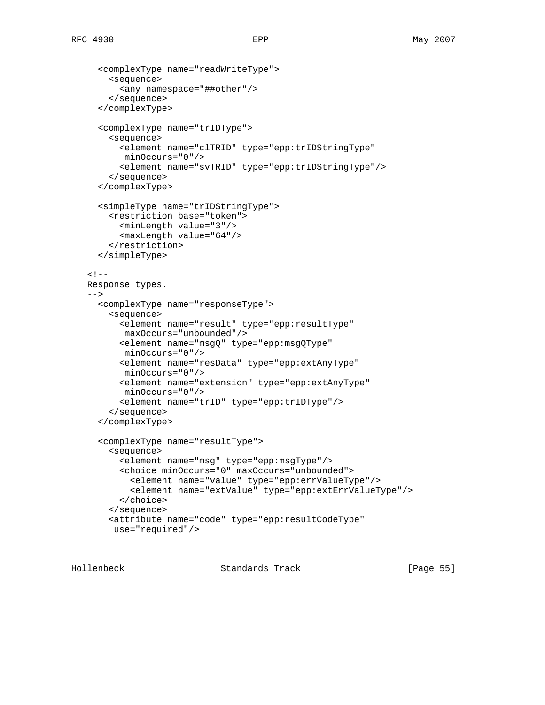```
 <complexType name="readWriteType">
     <sequence>
       <any namespace="##other"/>
     </sequence>
   </complexType>
   <complexType name="trIDType">
     <sequence>
       <element name="clTRID" type="epp:trIDStringType"
       minOccurs="0"/>
       <element name="svTRID" type="epp:trIDStringType"/>
     </sequence>
   </complexType>
   <simpleType name="trIDStringType">
     <restriction base="token">
       <minLength value="3"/>
       <maxLength value="64"/>
     </restriction>
   </simpleType>
\lt! -- Response types.
--&> <complexType name="responseType">
     <sequence>
       <element name="result" type="epp:resultType"
       maxOccurs="unbounded"/>
       <element name="msgQ" type="epp:msgQType"
       minOccurs="0"/>
       <element name="resData" type="epp:extAnyType"
       minOccurs="0"/>
       <element name="extension" type="epp:extAnyType"
       minOccurs="0"/>
       <element name="trID" type="epp:trIDType"/>
     </sequence>
   </complexType>
   <complexType name="resultType">
     <sequence>
       <element name="msg" type="epp:msgType"/>
       <choice minOccurs="0" maxOccurs="unbounded">
         <element name="value" type="epp:errValueType"/>
         <element name="extValue" type="epp:extErrValueType"/>
       </choice>
     </sequence>
     <attribute name="code" type="epp:resultCodeType"
      use="required"/>
```
Hollenbeck Standards Track [Page 55]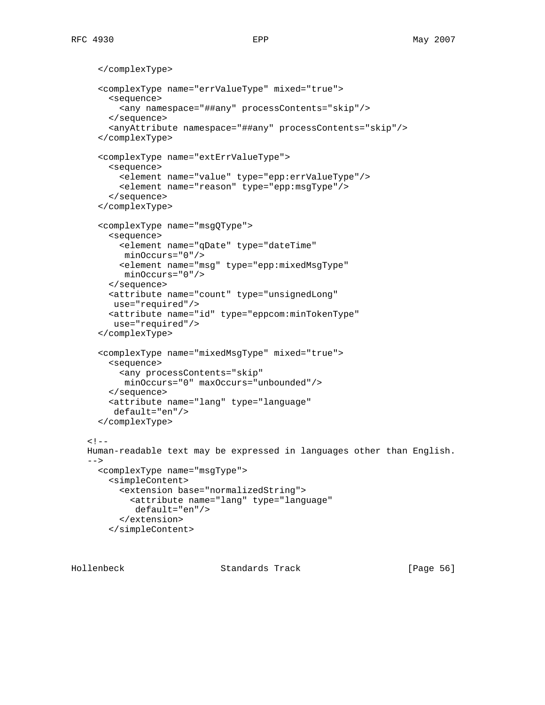```
 </complexType>
   <complexType name="errValueType" mixed="true">
     <sequence>
       <any namespace="##any" processContents="skip"/>
     </sequence>
     <anyAttribute namespace="##any" processContents="skip"/>
   </complexType>
   <complexType name="extErrValueType">
     <sequence>
       <element name="value" type="epp:errValueType"/>
       <element name="reason" type="epp:msgType"/>
     </sequence>
   </complexType>
   <complexType name="msgQType">
     <sequence>
       <element name="qDate" type="dateTime"
       minOccurs="0"/>
       <element name="msg" type="epp:mixedMsgType"
        minOccurs="0"/>
     </sequence>
     <attribute name="count" type="unsignedLong"
     use="required"/>
     <attribute name="id" type="eppcom:minTokenType"
      use="required"/>
   </complexType>
   <complexType name="mixedMsgType" mixed="true">
     <sequence>
       <any processContents="skip"
        minOccurs="0" maxOccurs="unbounded"/>
     </sequence>
     <attribute name="lang" type="language"
      default="en"/>
   </complexType>
<! - Human-readable text may be expressed in languages other than English.
--&> <complexType name="msgType">
     <simpleContent>
       <extension base="normalizedString">
         <attribute name="lang" type="language"
          default="en"/>
       </extension>
     </simpleContent>
```
Hollenbeck Standards Track [Page 56]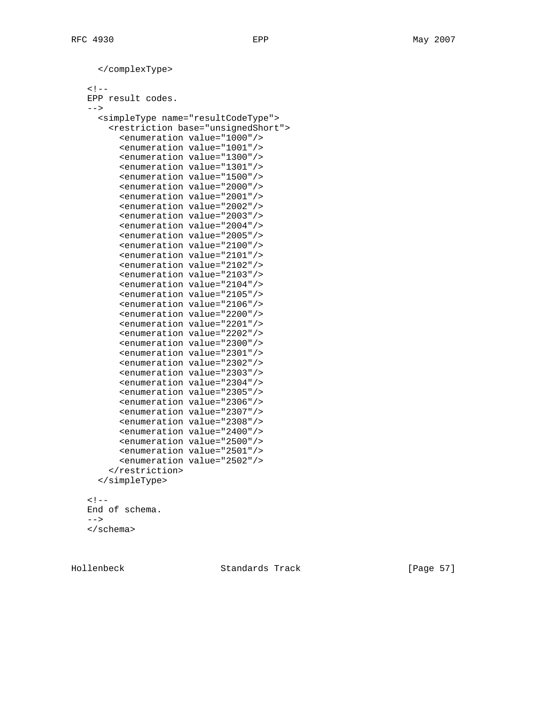```
 </complexType>
\lt! --
 EPP result codes.
--& <simpleType name="resultCodeType">
     <restriction base="unsignedShort">
       <enumeration value="1000"/>
       <enumeration value="1001"/>
       <enumeration value="1300"/>
       <enumeration value="1301"/>
       <enumeration value="1500"/>
       <enumeration value="2000"/>
       <enumeration value="2001"/>
       <enumeration value="2002"/>
       <enumeration value="2003"/>
       <enumeration value="2004"/>
       <enumeration value="2005"/>
       <enumeration value="2100"/>
       <enumeration value="2101"/>
       <enumeration value="2102"/>
       <enumeration value="2103"/>
       <enumeration value="2104"/>
       <enumeration value="2105"/>
       <enumeration value="2106"/>
       <enumeration value="2200"/>
       <enumeration value="2201"/>
       <enumeration value="2202"/>
       <enumeration value="2300"/>
       <enumeration value="2301"/>
       <enumeration value="2302"/>
       <enumeration value="2303"/>
       <enumeration value="2304"/>
       <enumeration value="2305"/>
       <enumeration value="2306"/>
       <enumeration value="2307"/>
       <enumeration value="2308"/>
       <enumeration value="2400"/>
       <enumeration value="2500"/>
       <enumeration value="2501"/>
       <enumeration value="2502"/>
     </restriction>
   </simpleType>
<! - End of schema.
--&>
```

```
 </schema>
```
Hollenbeck Standards Track [Page 57]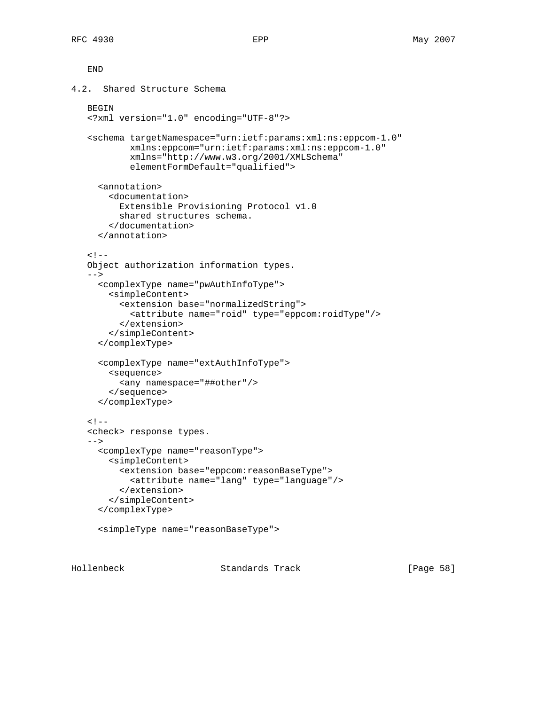```
 END
4.2. Shared Structure Schema
    BEGIN
    <?xml version="1.0" encoding="UTF-8"?>
    <schema targetNamespace="urn:ietf:params:xml:ns:eppcom-1.0"
            xmlns:eppcom="urn:ietf:params:xml:ns:eppcom-1.0"
            xmlns="http://www.w3.org/2001/XMLSchema"
            elementFormDefault="qualified">
      <annotation>
        <documentation>
          Extensible Provisioning Protocol v1.0
          shared structures schema.
        </documentation>
      </annotation>
   < ! -- Object authorization information types.
   --&> <complexType name="pwAuthInfoType">
        <simpleContent>
          <extension base="normalizedString">
            <attribute name="roid" type="eppcom:roidType"/>
          </extension>
        </simpleContent>
      </complexType>
      <complexType name="extAuthInfoType">
        <sequence>
          <any namespace="##other"/>
        </sequence>
      </complexType>
   <! - <check> response types.
   --& <complexType name="reasonType">
        <simpleContent>
          <extension base="eppcom:reasonBaseType">
            <attribute name="lang" type="language"/>
          </extension>
        </simpleContent>
      </complexType>
      <simpleType name="reasonBaseType">
```
Hollenbeck Standards Track [Page 58]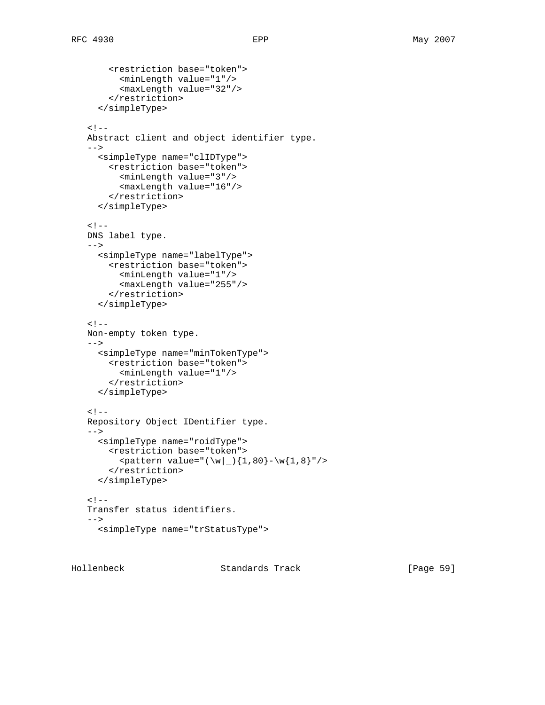```
 <restriction base="token">
       <minLength value="1"/>
       <maxLength value="32"/>
     </restriction>
   </simpleType>
< ! - - Abstract client and object identifier type.
--&> <simpleType name="clIDType">
     <restriction base="token">
       <minLength value="3"/>
       <maxLength value="16"/>
     </restriction>
   </simpleType>
< ! -- DNS label type.
--&> <simpleType name="labelType">
     <restriction base="token">
       <minLength value="1"/>
       <maxLength value="255"/>
     </restriction>
   </simpleType>
\lt ! -- Non-empty token type.
-->\, <simpleType name="minTokenType">
     <restriction base="token">
       <minLength value="1"/>
     </restriction>
   </simpleType>
< ! - - Repository Object IDentifier type.
 -->
   <simpleType name="roidType">
     <restriction base="token">
      \epsilon <pattern value="(\w|_){1,80}-\w{1,8}"/>
     </restriction>
   </simpleType>
<! - Transfer status identifiers.
--&> <simpleType name="trStatusType">
```
Hollenbeck Standards Track [Page 59]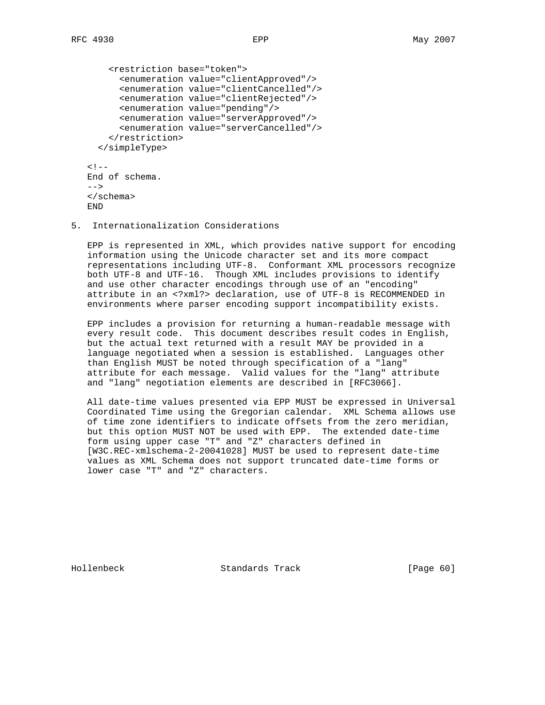```
 <restriction base="token">
       <enumeration value="clientApproved"/>
       <enumeration value="clientCancelled"/>
       <enumeration value="clientRejected"/>
       <enumeration value="pending"/>
       <enumeration value="serverApproved"/>
       <enumeration value="serverCancelled"/>
     </restriction>
   </simpleType>
< ! -- End of schema.
 -->
 </schema>
 END
```
5. Internationalization Considerations

 EPP is represented in XML, which provides native support for encoding information using the Unicode character set and its more compact representations including UTF-8. Conformant XML processors recognize both UTF-8 and UTF-16. Though XML includes provisions to identify and use other character encodings through use of an "encoding" attribute in an <?xml?> declaration, use of UTF-8 is RECOMMENDED in environments where parser encoding support incompatibility exists.

 EPP includes a provision for returning a human-readable message with every result code. This document describes result codes in English, but the actual text returned with a result MAY be provided in a language negotiated when a session is established. Languages other than English MUST be noted through specification of a "lang" attribute for each message. Valid values for the "lang" attribute and "lang" negotiation elements are described in [RFC3066].

 All date-time values presented via EPP MUST be expressed in Universal Coordinated Time using the Gregorian calendar. XML Schema allows use of time zone identifiers to indicate offsets from the zero meridian, but this option MUST NOT be used with EPP. The extended date-time form using upper case "T" and "Z" characters defined in [W3C.REC-xmlschema-2-20041028] MUST be used to represent date-time values as XML Schema does not support truncated date-time forms or lower case "T" and "Z" characters.

Hollenbeck Standards Track [Page 60]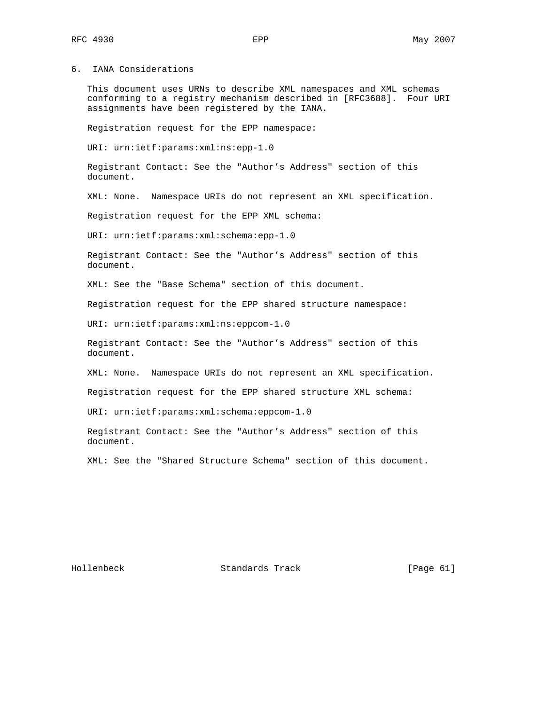6. IANA Considerations

 This document uses URNs to describe XML namespaces and XML schemas conforming to a registry mechanism described in [RFC3688]. Four URI assignments have been registered by the IANA.

Registration request for the EPP namespace:

URI: urn:ietf:params:xml:ns:epp-1.0

 Registrant Contact: See the "Author's Address" section of this document.

XML: None. Namespace URIs do not represent an XML specification.

Registration request for the EPP XML schema:

URI: urn:ietf:params:xml:schema:epp-1.0

 Registrant Contact: See the "Author's Address" section of this document.

XML: See the "Base Schema" section of this document.

Registration request for the EPP shared structure namespace:

URI: urn:ietf:params:xml:ns:eppcom-1.0

 Registrant Contact: See the "Author's Address" section of this document.

XML: None. Namespace URIs do not represent an XML specification.

Registration request for the EPP shared structure XML schema:

URI: urn:ietf:params:xml:schema:eppcom-1.0

 Registrant Contact: See the "Author's Address" section of this document.

XML: See the "Shared Structure Schema" section of this document.

Hollenbeck Standards Track [Page 61]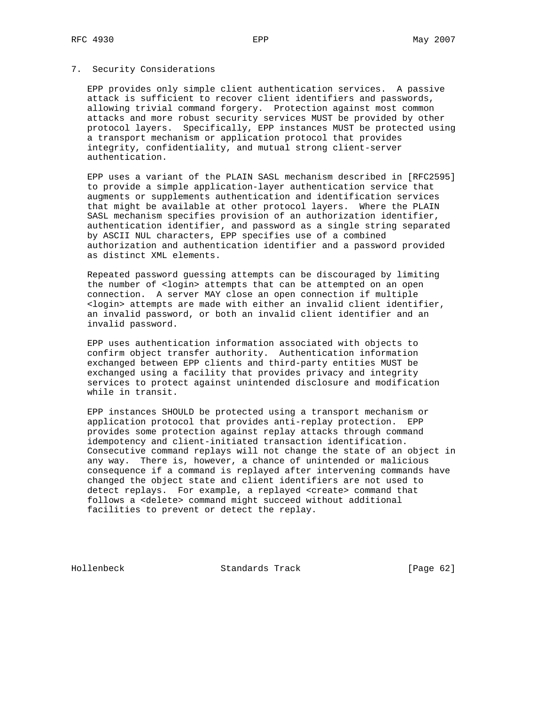## 7. Security Considerations

 EPP provides only simple client authentication services. A passive attack is sufficient to recover client identifiers and passwords, allowing trivial command forgery. Protection against most common attacks and more robust security services MUST be provided by other protocol layers. Specifically, EPP instances MUST be protected using a transport mechanism or application protocol that provides integrity, confidentiality, and mutual strong client-server authentication.

 EPP uses a variant of the PLAIN SASL mechanism described in [RFC2595] to provide a simple application-layer authentication service that augments or supplements authentication and identification services that might be available at other protocol layers. Where the PLAIN SASL mechanism specifies provision of an authorization identifier, authentication identifier, and password as a single string separated by ASCII NUL characters, EPP specifies use of a combined authorization and authentication identifier and a password provided as distinct XML elements.

 Repeated password guessing attempts can be discouraged by limiting the number of <login> attempts that can be attempted on an open connection. A server MAY close an open connection if multiple <login> attempts are made with either an invalid client identifier, an invalid password, or both an invalid client identifier and an invalid password.

 EPP uses authentication information associated with objects to confirm object transfer authority. Authentication information exchanged between EPP clients and third-party entities MUST be exchanged using a facility that provides privacy and integrity services to protect against unintended disclosure and modification while in transit.

 EPP instances SHOULD be protected using a transport mechanism or application protocol that provides anti-replay protection. EPP provides some protection against replay attacks through command idempotency and client-initiated transaction identification. Consecutive command replays will not change the state of an object in any way. There is, however, a chance of unintended or malicious consequence if a command is replayed after intervening commands have changed the object state and client identifiers are not used to detect replays. For example, a replayed <create> command that follows a <delete> command might succeed without additional facilities to prevent or detect the replay.

Hollenbeck Standards Track [Page 62]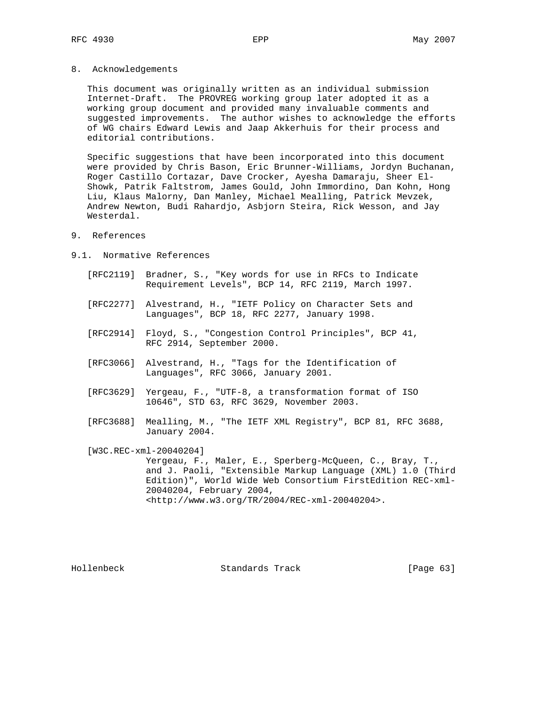8. Acknowledgements

 This document was originally written as an individual submission Internet-Draft. The PROVREG working group later adopted it as a working group document and provided many invaluable comments and suggested improvements. The author wishes to acknowledge the efforts of WG chairs Edward Lewis and Jaap Akkerhuis for their process and editorial contributions.

 Specific suggestions that have been incorporated into this document were provided by Chris Bason, Eric Brunner-Williams, Jordyn Buchanan, Roger Castillo Cortazar, Dave Crocker, Ayesha Damaraju, Sheer El- Showk, Patrik Faltstrom, James Gould, John Immordino, Dan Kohn, Hong Liu, Klaus Malorny, Dan Manley, Michael Mealling, Patrick Mevzek, Andrew Newton, Budi Rahardjo, Asbjorn Steira, Rick Wesson, and Jay Westerdal.

- 9. References
- 9.1. Normative References
	- [RFC2119] Bradner, S., "Key words for use in RFCs to Indicate Requirement Levels", BCP 14, RFC 2119, March 1997.
	- [RFC2277] Alvestrand, H., "IETF Policy on Character Sets and Languages", BCP 18, RFC 2277, January 1998.
	- [RFC2914] Floyd, S., "Congestion Control Principles", BCP 41, RFC 2914, September 2000.
	- [RFC3066] Alvestrand, H., "Tags for the Identification of Languages", RFC 3066, January 2001.
	- [RFC3629] Yergeau, F., "UTF-8, a transformation format of ISO 10646", STD 63, RFC 3629, November 2003.
	- [RFC3688] Mealling, M., "The IETF XML Registry", BCP 81, RFC 3688, January 2004.

[W3C.REC-xml-20040204]

 Yergeau, F., Maler, E., Sperberg-McQueen, C., Bray, T., and J. Paoli, "Extensible Markup Language (XML) 1.0 (Third Edition)", World Wide Web Consortium FirstEdition REC-xml- 20040204, February 2004, <http://www.w3.org/TR/2004/REC-xml-20040204>.

Hollenbeck Standards Track [Page 63]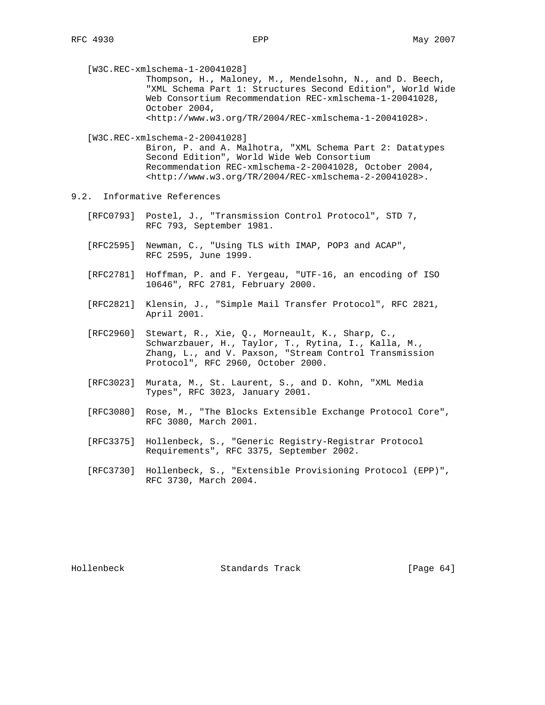Thompson, H., Maloney, M., Mendelsohn, N., and D. Beech, "XML Schema Part 1: Structures Second Edition", World Wide Web Consortium Recommendation REC-xmlschema-1-20041028, October 2004, <http://www.w3.org/TR/2004/REC-xmlschema-1-20041028>.

[W3C.REC-xmlschema-2-20041028]

 Biron, P. and A. Malhotra, "XML Schema Part 2: Datatypes Second Edition", World Wide Web Consortium Recommendation REC-xmlschema-2-20041028, October 2004, <http://www.w3.org/TR/2004/REC-xmlschema-2-20041028>.

- 9.2. Informative References
	- [RFC0793] Postel, J., "Transmission Control Protocol", STD 7, RFC 793, September 1981.
	- [RFC2595] Newman, C., "Using TLS with IMAP, POP3 and ACAP", RFC 2595, June 1999.
	- [RFC2781] Hoffman, P. and F. Yergeau, "UTF-16, an encoding of ISO 10646", RFC 2781, February 2000.
	- [RFC2821] Klensin, J., "Simple Mail Transfer Protocol", RFC 2821, April 2001.
- [RFC2960] Stewart, R., Xie, Q., Morneault, K., Sharp, C., Schwarzbauer, H., Taylor, T., Rytina, I., Kalla, M., Zhang, L., and V. Paxson, "Stream Control Transmission Protocol", RFC 2960, October 2000.
	- [RFC3023] Murata, M., St. Laurent, S., and D. Kohn, "XML Media Types", RFC 3023, January 2001.
	- [RFC3080] Rose, M., "The Blocks Extensible Exchange Protocol Core", RFC 3080, March 2001.
	- [RFC3375] Hollenbeck, S., "Generic Registry-Registrar Protocol Requirements", RFC 3375, September 2002.
	- [RFC3730] Hollenbeck, S., "Extensible Provisioning Protocol (EPP)", RFC 3730, March 2004.

Hollenbeck Standards Track [Page 64]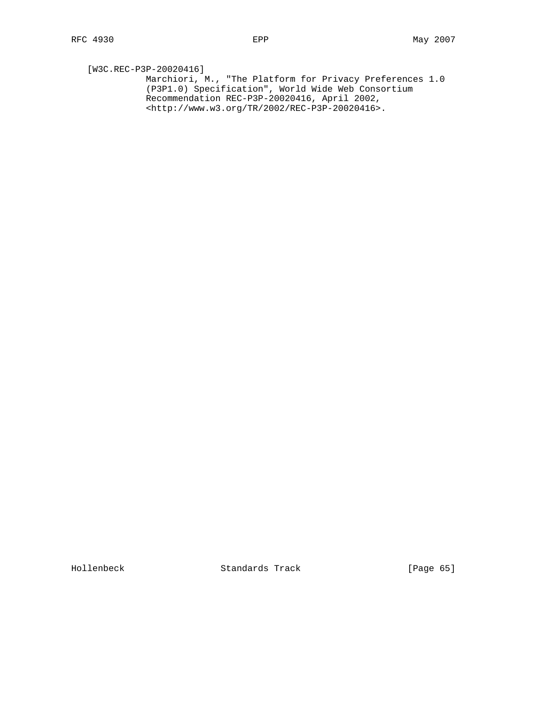[W3C.REC-P3P-20020416] Marchiori, M., "The Platform for Privacy Preferences 1.0 (P3P1.0) Specification", World Wide Web Consortium Recommendation REC-P3P-20020416, April 2002, <http://www.w3.org/TR/2002/REC-P3P-20020416>.

Hollenbeck Standards Track [Page 65]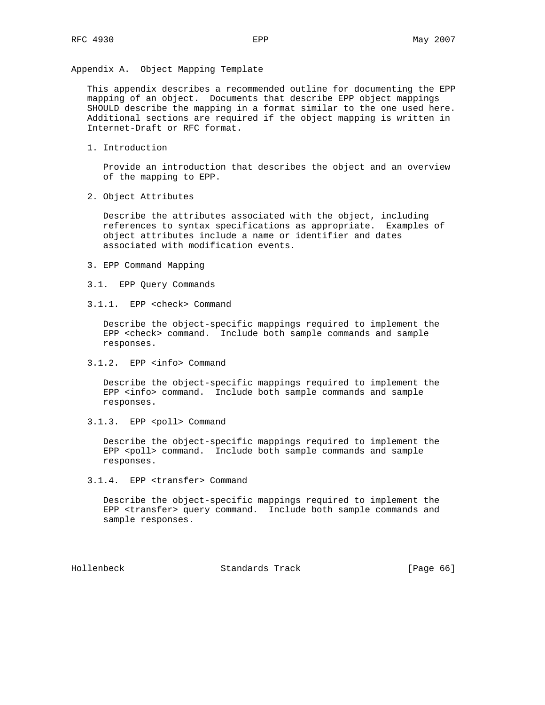Appendix A. Object Mapping Template

 This appendix describes a recommended outline for documenting the EPP mapping of an object. Documents that describe EPP object mappings SHOULD describe the mapping in a format similar to the one used here. Additional sections are required if the object mapping is written in Internet-Draft or RFC format.

1. Introduction

 Provide an introduction that describes the object and an overview of the mapping to EPP.

2. Object Attributes

 Describe the attributes associated with the object, including references to syntax specifications as appropriate. Examples of object attributes include a name or identifier and dates associated with modification events.

- 3. EPP Command Mapping
- 3.1. EPP Query Commands
- 3.1.1. EPP <check> Command

 Describe the object-specific mappings required to implement the EPP <check> command. Include both sample commands and sample responses.

3.1.2. EPP <info> Command

 Describe the object-specific mappings required to implement the EPP <info> command. Include both sample commands and sample responses.

3.1.3. EPP <poll> Command

 Describe the object-specific mappings required to implement the EPP <poll> command. Include both sample commands and sample responses.

3.1.4. EPP <transfer> Command

 Describe the object-specific mappings required to implement the EPP <transfer> query command. Include both sample commands and sample responses.

Hollenbeck Standards Track [Page 66]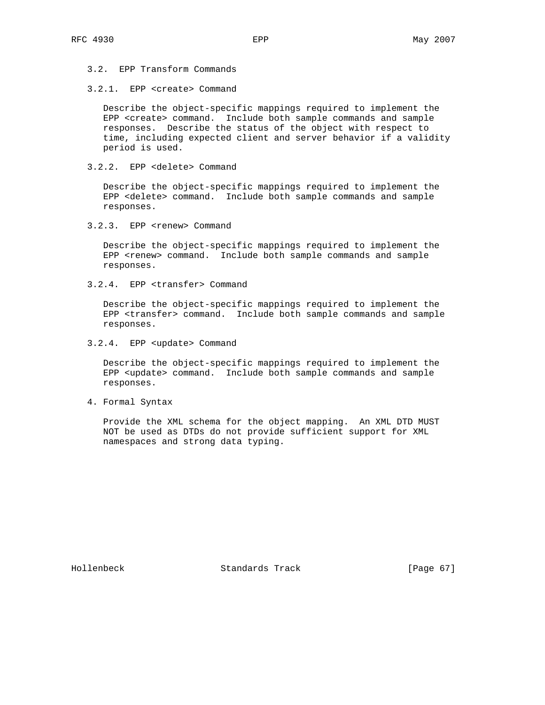3.2. EPP Transform Commands

3.2.1. EPP <create> Command

 Describe the object-specific mappings required to implement the EPP <create> command. Include both sample commands and sample responses. Describe the status of the object with respect to time, including expected client and server behavior if a validity period is used.

3.2.2. EPP <delete> Command

 Describe the object-specific mappings required to implement the EPP <delete> command. Include both sample commands and sample responses.

3.2.3. EPP <renew> Command

 Describe the object-specific mappings required to implement the EPP <renew> command. Include both sample commands and sample responses.

3.2.4. EPP <transfer> Command

 Describe the object-specific mappings required to implement the EPP <transfer> command. Include both sample commands and sample responses.

3.2.4. EPP <update> Command

 Describe the object-specific mappings required to implement the EPP <update> command. Include both sample commands and sample responses.

4. Formal Syntax

 Provide the XML schema for the object mapping. An XML DTD MUST NOT be used as DTDs do not provide sufficient support for XML namespaces and strong data typing.

Hollenbeck Standards Track [Page 67]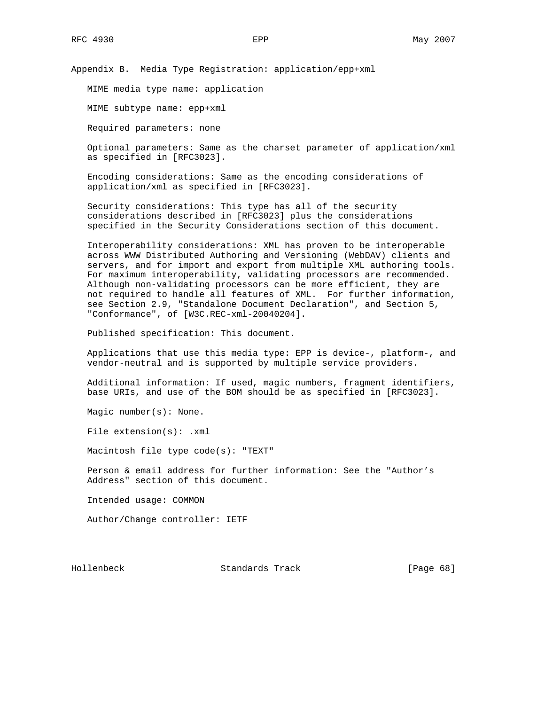Appendix B. Media Type Registration: application/epp+xml

MIME media type name: application

MIME subtype name: epp+xml

Required parameters: none

 Optional parameters: Same as the charset parameter of application/xml as specified in [RFC3023].

 Encoding considerations: Same as the encoding considerations of application/xml as specified in [RFC3023].

 Security considerations: This type has all of the security considerations described in [RFC3023] plus the considerations specified in the Security Considerations section of this document.

 Interoperability considerations: XML has proven to be interoperable across WWW Distributed Authoring and Versioning (WebDAV) clients and servers, and for import and export from multiple XML authoring tools. For maximum interoperability, validating processors are recommended. Although non-validating processors can be more efficient, they are not required to handle all features of XML. For further information, see Section 2.9, "Standalone Document Declaration", and Section 5, "Conformance", of [W3C.REC-xml-20040204].

Published specification: This document.

 Applications that use this media type: EPP is device-, platform-, and vendor-neutral and is supported by multiple service providers.

 Additional information: If used, magic numbers, fragment identifiers, base URIs, and use of the BOM should be as specified in [RFC3023].

Magic number(s): None.

File extension(s): .xml

Macintosh file type code(s): "TEXT"

 Person & email address for further information: See the "Author's Address" section of this document.

Intended usage: COMMON

Author/Change controller: IETF

Hollenbeck Standards Track [Page 68]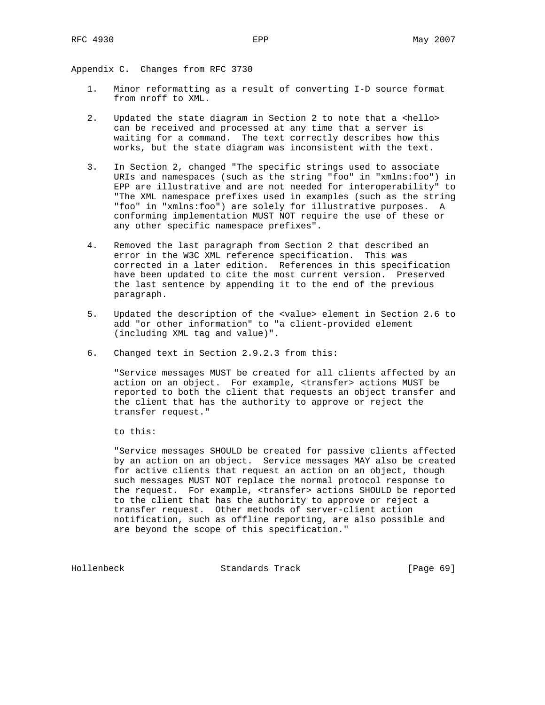Appendix C. Changes from RFC 3730

- 1. Minor reformatting as a result of converting I-D source format from nroff to XML.
- 2. Updated the state diagram in Section 2 to note that a <hello> can be received and processed at any time that a server is waiting for a command. The text correctly describes how this works, but the state diagram was inconsistent with the text.
- 3. In Section 2, changed "The specific strings used to associate URIs and namespaces (such as the string "foo" in "xmlns:foo") in EPP are illustrative and are not needed for interoperability" to "The XML namespace prefixes used in examples (such as the string "foo" in "xmlns:foo") are solely for illustrative purposes. A conforming implementation MUST NOT require the use of these or any other specific namespace prefixes".
- 4. Removed the last paragraph from Section 2 that described an error in the W3C XML reference specification. This was corrected in a later edition. References in this specification have been updated to cite the most current version. Preserved the last sentence by appending it to the end of the previous paragraph.
- 5. Updated the description of the <value> element in Section 2.6 to add "or other information" to "a client-provided element (including XML tag and value)".
- 6. Changed text in Section 2.9.2.3 from this:

 "Service messages MUST be created for all clients affected by an action on an object. For example, <transfer> actions MUST be reported to both the client that requests an object transfer and the client that has the authority to approve or reject the transfer request."

to this:

 "Service messages SHOULD be created for passive clients affected by an action on an object. Service messages MAY also be created for active clients that request an action on an object, though such messages MUST NOT replace the normal protocol response to the request. For example, <transfer> actions SHOULD be reported to the client that has the authority to approve or reject a transfer request. Other methods of server-client action notification, such as offline reporting, are also possible and are beyond the scope of this specification."

Hollenbeck Standards Track [Page 69]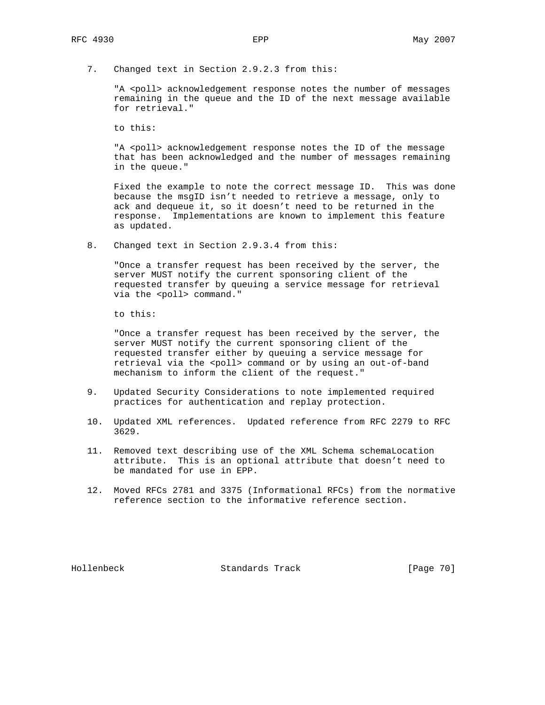7. Changed text in Section 2.9.2.3 from this:

"A <poll> acknowledgement response notes the number of messages remaining in the queue and the ID of the next message available for retrieval."

to this:

"A <poll> acknowledgement response notes the ID of the message that has been acknowledged and the number of messages remaining in the queue."

 Fixed the example to note the correct message ID. This was done because the msgID isn't needed to retrieve a message, only to ack and dequeue it, so it doesn't need to be returned in the response. Implementations are known to implement this feature as updated.

8. Changed text in Section 2.9.3.4 from this:

 "Once a transfer request has been received by the server, the server MUST notify the current sponsoring client of the requested transfer by queuing a service message for retrieval via the <poll> command."

to this:

 "Once a transfer request has been received by the server, the server MUST notify the current sponsoring client of the requested transfer either by queuing a service message for retrieval via the <poll> command or by using an out-of-band mechanism to inform the client of the request."

- 9. Updated Security Considerations to note implemented required practices for authentication and replay protection.
- 10. Updated XML references. Updated reference from RFC 2279 to RFC 3629.
- 11. Removed text describing use of the XML Schema schemaLocation attribute. This is an optional attribute that doesn't need to be mandated for use in EPP.
- 12. Moved RFCs 2781 and 3375 (Informational RFCs) from the normative reference section to the informative reference section.

Hollenbeck Standards Track [Page 70]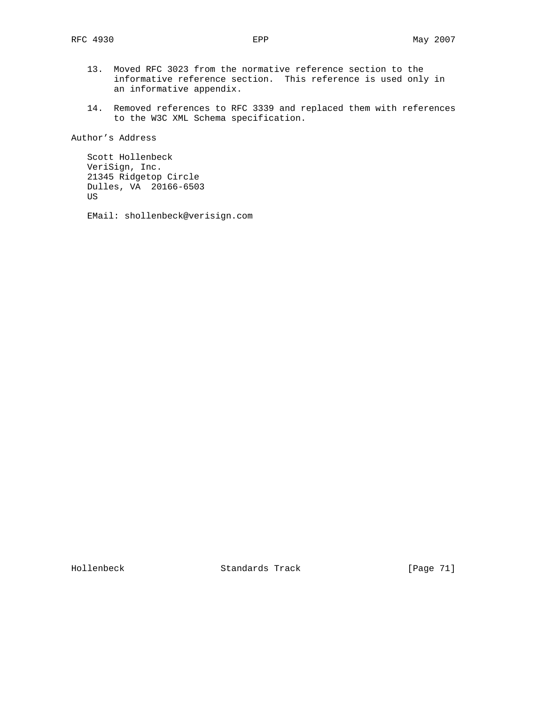- 13. Moved RFC 3023 from the normative reference section to the informative reference section. This reference is used only in an informative appendix.
- 14. Removed references to RFC 3339 and replaced them with references to the W3C XML Schema specification.

Author's Address

 Scott Hollenbeck VeriSign, Inc. 21345 Ridgetop Circle Dulles, VA 20166-6503 US

EMail: shollenbeck@verisign.com

Hollenbeck Standards Track [Page 71]